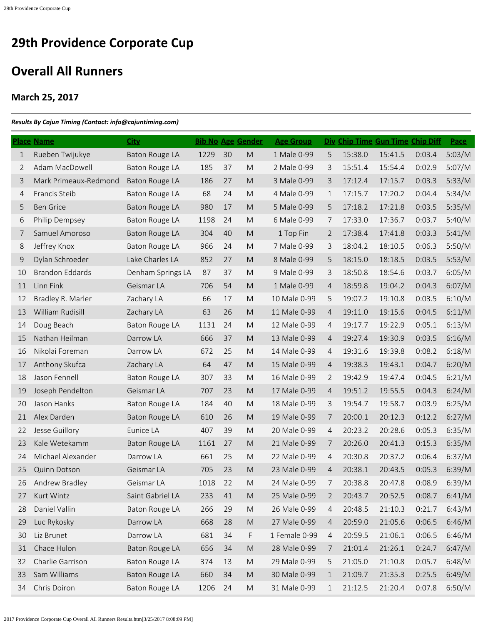## **Overall All Runners**

## **March 25, 2017**

## *Results By Cajun Timing (Contact: info@cajuntiming.com)*

|             | <b>Place Name</b>      | <b>City</b>           | <b>Bib No Age Gender</b> |    |                                                                                                            | <b>Age Group</b> |                |         | Div Chip Time Gun Time Chip Diff |        | Pace   |
|-------------|------------------------|-----------------------|--------------------------|----|------------------------------------------------------------------------------------------------------------|------------------|----------------|---------|----------------------------------|--------|--------|
| $\mathbf 1$ | Rueben Twijukye        | <b>Baton Rouge LA</b> | 1229                     | 30 | M                                                                                                          | 1 Male 0-99      | 5              | 15:38.0 | 15:41.5                          | 0:03.4 | 5:03/M |
| 2           | Adam MacDowell         | Baton Rouge LA        | 185                      | 37 | M                                                                                                          | 2 Male 0-99      | 3              | 15:51.4 | 15:54.4                          | 0:02.9 | 5:07/M |
| 3           | Mark Primeaux-Redmond  | <b>Baton Rouge LA</b> | 186                      | 27 | M                                                                                                          | 3 Male 0-99      | 3              | 17:12.4 | 17:15.7                          | 0:03.3 | 5:33/M |
| 4           | Francis Steib          | Baton Rouge LA        | 68                       | 24 | M                                                                                                          | 4 Male 0-99      | 1              | 17:15.7 | 17:20.2                          | 0:04.4 | 5:34/M |
| 5           | <b>Ben Grice</b>       | Baton Rouge LA        | 980                      | 17 | ${\sf M}$                                                                                                  | 5 Male 0-99      | 5              | 17:18.2 | 17:21.8                          | 0:03.5 | 5:35/M |
| 6           | Philip Dempsey         | Baton Rouge LA        | 1198                     | 24 | M                                                                                                          | 6 Male 0-99      | 7              | 17:33.0 | 17:36.7                          | 0:03.7 | 5:40/M |
| 7           | Samuel Amoroso         | Baton Rouge LA        | 304                      | 40 | M                                                                                                          | 1 Top Fin        | $\overline{2}$ | 17:38.4 | 17:41.8                          | 0:03.3 | 5:41/M |
| 8           | Jeffrey Knox           | Baton Rouge LA        | 966                      | 24 | M                                                                                                          | 7 Male 0-99      | 3              | 18:04.2 | 18:10.5                          | 0:06.3 | 5:50/M |
| 9           | Dylan Schroeder        | Lake Charles LA       | 852                      | 27 | M                                                                                                          | 8 Male 0-99      | 5              | 18:15.0 | 18:18.5                          | 0:03.5 | 5:53/M |
| 10          | <b>Brandon Eddards</b> | Denham Springs LA     | 87                       | 37 | M                                                                                                          | 9 Male 0-99      | 3              | 18:50.8 | 18:54.6                          | 0:03.7 | 6:05/M |
| 11          | Linn Fink              | Geismar LA            | 706                      | 54 | M                                                                                                          | 1 Male 0-99      | $\overline{4}$ | 18:59.8 | 19:04.2                          | 0:04.3 | 6:07/M |
| 12          | Bradley R. Marler      | Zachary LA            | 66                       | 17 | M                                                                                                          | 10 Male 0-99     | 5              | 19:07.2 | 19:10.8                          | 0:03.5 | 6:10/M |
| 13          | William Rudisill       | Zachary LA            | 63                       | 26 | M                                                                                                          | 11 Male 0-99     | $\overline{4}$ | 19:11.0 | 19:15.6                          | 0:04.5 | 6:11/M |
| 14          | Doug Beach             | Baton Rouge LA        | 1131                     | 24 | M                                                                                                          | 12 Male 0-99     | $\overline{4}$ | 19:17.7 | 19:22.9                          | 0:05.1 | 6:13/M |
| 15          | Nathan Heilman         | Darrow LA             | 666                      | 37 | M                                                                                                          | 13 Male 0-99     | 4              | 19:27.4 | 19:30.9                          | 0:03.5 | 6:16/M |
| 16          | Nikolai Foreman        | Darrow LA             | 672                      | 25 | M                                                                                                          | 14 Male 0-99     | $\overline{4}$ | 19:31.6 | 19:39.8                          | 0:08.2 | 6:18/M |
| 17          | Anthony Skufca         | Zachary LA            | 64                       | 47 | M                                                                                                          | 15 Male 0-99     | $\overline{4}$ | 19:38.3 | 19:43.1                          | 0:04.7 | 6:20/M |
| 18          | Jason Fennell          | Baton Rouge LA        | 307                      | 33 | M                                                                                                          | 16 Male 0-99     | $\overline{2}$ | 19:42.9 | 19:47.4                          | 0:04.5 | 6:21/M |
| 19          | Joseph Pendelton       | Geismar LA            | 707                      | 23 | M                                                                                                          | 17 Male 0-99     | 4              | 19:51.2 | 19:55.5                          | 0:04.3 | 6:24/M |
| 20          | Jason Hanks            | Baton Rouge LA        | 184                      | 40 | M                                                                                                          | 18 Male 0-99     | 3              | 19:54.7 | 19:58.7                          | 0:03.9 | 6:25/M |
| 21          | Alex Darden            | Baton Rouge LA        | 610                      | 26 | M                                                                                                          | 19 Male 0-99     | 7              | 20:00.1 | 20:12.3                          | 0:12.2 | 6:27/M |
| 22          | Jesse Guillory         | Eunice LA             | 407                      | 39 | M                                                                                                          | 20 Male 0-99     | $\overline{4}$ | 20:23.2 | 20:28.6                          | 0:05.3 | 6:35/M |
| 23          | Kale Wetekamm          | Baton Rouge LA        | 1161                     | 27 | M                                                                                                          | 21 Male 0-99     | 7              | 20:26.0 | 20:41.3                          | 0:15.3 | 6:35/M |
| 24          | Michael Alexander      | Darrow LA             | 661                      | 25 | M                                                                                                          | 22 Male 0-99     | 4              | 20:30.8 | 20:37.2                          | 0:06.4 | 6:37/M |
| 25          | <b>Quinn Dotson</b>    | Geismar LA            | 705                      | 23 | M                                                                                                          | 23 Male 0-99     | 4              | 20:38.1 | 20:43.5                          | 0:05.3 | 6:39/M |
| 26          | Andrew Bradley         | Geismar LA            | 1018                     | 22 | M                                                                                                          | 24 Male 0-99     | 7              | 20:38.8 | 20:47.8                          | 0:08.9 | 6:39/M |
| 27          | Kurt Wintz             | Saint Gabriel LA      | 233                      | 41 | $\mathsf{M}% _{T}=\mathsf{M}_{T}\!\left( a,b\right) ,\ \mathsf{M}_{T}=\mathsf{M}_{T}\!\left( a,b\right) ,$ | 25 Male 0-99     | $\overline{2}$ | 20:43.7 | 20:52.5                          | 0:08.7 | 6:41/M |
| 28          | Daniel Vallin          | Baton Rouge LA        | 266                      | 29 | ${\sf M}$                                                                                                  | 26 Male 0-99     | 4              | 20:48.5 | 21:10.3                          | 0:21.7 | 6:43/M |
| 29          | Luc Rykosky            | Darrow LA             | 668                      | 28 | ${\sf M}$                                                                                                  | 27 Male 0-99     | $\overline{4}$ | 20:59.0 | 21:05.6                          | 0:06.5 | 6:46/M |
| 30          | Liz Brunet             | Darrow LA             | 681                      | 34 | F                                                                                                          | 1 Female 0-99    | 4              | 20:59.5 | 21:06.1                          | 0:06.5 | 6:46/M |
| 31          | Chace Hulon            | Baton Rouge LA        | 656                      | 34 | ${\sf M}$                                                                                                  | 28 Male 0-99     | 7              | 21:01.4 | 21:26.1                          | 0:24.7 | 6:47/M |
| 32          | Charlie Garrison       | Baton Rouge LA        | 374                      | 13 | ${\sf M}$                                                                                                  | 29 Male 0-99     | 5              | 21:05.0 | 21:10.8                          | 0:05.7 | 6:48/M |
| 33          | Sam Williams           | <b>Baton Rouge LA</b> | 660                      | 34 | ${\sf M}$                                                                                                  | 30 Male 0-99     | $\mathbf{1}$   | 21:09.7 | 21:35.3                          | 0:25.5 | 6:49/M |
| 34          | Chris Doiron           | Baton Rouge LA        | 1206                     | 24 | ${\sf M}$                                                                                                  | 31 Male 0-99     | $\mathbf 1$    | 21:12.5 | 21:20.4                          | 0:07.8 | 6:50/M |
|             |                        |                       |                          |    |                                                                                                            |                  |                |         |                                  |        |        |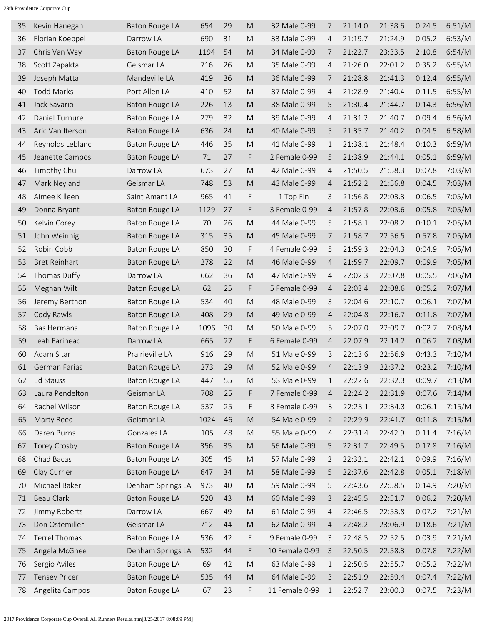| 35 | Kevin Hanegan        | Baton Rouge LA        | 654  | 29 | M                                                                                                          | 32 Male 0-99   | 7              | 21:14.0 | 21:38.6 | 0:24.5 | 6:51/M |
|----|----------------------|-----------------------|------|----|------------------------------------------------------------------------------------------------------------|----------------|----------------|---------|---------|--------|--------|
| 36 | Florian Koeppel      | Darrow LA             | 690  | 31 | M                                                                                                          | 33 Male 0-99   | 4              | 21:19.7 | 21:24.9 | 0:05.2 | 6:53/M |
| 37 | Chris Van Way        | Baton Rouge LA        | 1194 | 54 | M                                                                                                          | 34 Male 0-99   | 7              | 21:22.7 | 23:33.5 | 2:10.8 | 6:54/M |
| 38 | Scott Zapakta        | Geismar LA            | 716  | 26 | M                                                                                                          | 35 Male 0-99   | 4              | 21:26.0 | 22:01.2 | 0:35.2 | 6:55/M |
| 39 | Joseph Matta         | Mandeville LA         | 419  | 36 | M                                                                                                          | 36 Male 0-99   | 7              | 21:28.8 | 21:41.3 | 0:12.4 | 6:55/M |
| 40 | <b>Todd Marks</b>    | Port Allen LA         | 410  | 52 | M                                                                                                          | 37 Male 0-99   | 4              | 21:28.9 | 21:40.4 | 0:11.5 | 6:55/M |
| 41 | Jack Savario         | <b>Baton Rouge LA</b> | 226  | 13 | M                                                                                                          | 38 Male 0-99   | 5              | 21:30.4 | 21:44.7 | 0:14.3 | 6:56/M |
| 42 | Daniel Turnure       | Baton Rouge LA        | 279  | 32 | M                                                                                                          | 39 Male 0-99   | 4              | 21:31.2 | 21:40.7 | 0:09.4 | 6:56/M |
| 43 | Aric Van Iterson     | <b>Baton Rouge LA</b> | 636  | 24 | M                                                                                                          | 40 Male 0-99   | 5              | 21:35.7 | 21:40.2 | 0:04.5 | 6:58/M |
| 44 | Reynolds Leblanc     | <b>Baton Rouge LA</b> | 446  | 35 | M                                                                                                          | 41 Male 0-99   | 1              | 21:38.1 | 21:48.4 | 0:10.3 | 6:59/M |
| 45 | Jeanette Campos      | Baton Rouge LA        | 71   | 27 | F                                                                                                          | 2 Female 0-99  | 5              | 21:38.9 | 21:44.1 | 0:05.1 | 6:59/M |
| 46 | Timothy Chu          | Darrow LA             | 673  | 27 | M                                                                                                          | 42 Male 0-99   | 4              | 21:50.5 | 21:58.3 | 0:07.8 | 7:03/M |
| 47 | Mark Neyland         | Geismar LA            | 748  | 53 | M                                                                                                          | 43 Male 0-99   | 4              | 21:52.2 | 21:56.8 | 0:04.5 | 7:03/M |
| 48 | Aimee Killeen        | Saint Amant LA        | 965  | 41 | F.                                                                                                         | 1 Top Fin      | 3              | 21:56.8 | 22:03.3 | 0:06.5 | 7:05/M |
| 49 | Donna Bryant         | <b>Baton Rouge LA</b> | 1129 | 27 | F                                                                                                          | 3 Female 0-99  | 4              | 21:57.8 | 22:03.6 | 0:05.8 | 7:05/M |
| 50 | Kelvin Corey         | Baton Rouge LA        | 70   | 26 | M                                                                                                          | 44 Male 0-99   | 5              | 21:58.1 | 22:08.2 | 0:10.1 | 7:05/M |
| 51 | John Weinnig         | Baton Rouge LA        | 315  | 35 | M                                                                                                          | 45 Male 0-99   | 7              | 21:58.7 | 22:56.5 | 0:57.8 | 7:05/M |
| 52 | Robin Cobb           | Baton Rouge LA        | 850  | 30 | F                                                                                                          | 4 Female 0-99  | 5              | 21:59.3 | 22:04.3 | 0:04.9 | 7:05/M |
| 53 | <b>Bret Reinhart</b> | <b>Baton Rouge LA</b> | 278  | 22 | M                                                                                                          | 46 Male 0-99   | 4              | 21:59.7 | 22:09.7 | 0:09.9 | 7:05/M |
| 54 | Thomas Duffy         | Darrow LA             | 662  | 36 | M                                                                                                          | 47 Male 0-99   | 4              | 22:02.3 | 22:07.8 | 0:05.5 | 7:06/M |
| 55 | Meghan Wilt          | Baton Rouge LA        | 62   | 25 | F                                                                                                          | 5 Female 0-99  | 4              | 22:03.4 | 22:08.6 | 0:05.2 | 7:07/M |
| 56 | Jeremy Berthon       | Baton Rouge LA        | 534  | 40 | M                                                                                                          | 48 Male 0-99   | 3              | 22:04.6 | 22:10.7 | 0:06.1 | 7:07/M |
| 57 | Cody Rawls           | Baton Rouge LA        | 408  | 29 | M                                                                                                          | 49 Male 0-99   | $\overline{4}$ | 22:04.8 | 22:16.7 | 0:11.8 | 7:07/M |
| 58 | <b>Bas Hermans</b>   | Baton Rouge LA        | 1096 | 30 | M                                                                                                          | 50 Male 0-99   | 5              | 22:07.0 | 22:09.7 | 0:02.7 | 7:08/M |
| 59 | Leah Farihead        | Darrow LA             | 665  | 27 | F                                                                                                          | 6 Female 0-99  | 4              | 22:07.9 | 22:14.2 | 0:06.2 | 7:08/M |
| 60 | Adam Sitar           | Prairieville LA       | 916  | 29 | M                                                                                                          | 51 Male 0-99   | 3              | 22:13.6 | 22:56.9 | 0:43.3 | 7:10/M |
| 61 | German Farias        | <b>Baton Rouge LA</b> | 273  | 29 | M                                                                                                          | 52 Male 0-99   | $\overline{4}$ | 22:13.9 | 22:37.2 | 0:23.2 | 7:10/M |
| 62 | Ed Stauss            | Baton Rouge LA        | 447  | 55 | M                                                                                                          | 53 Male 0-99   | $\mathbf{1}$   | 22:22.6 | 22:32.3 | 0:09.7 | 7:13/M |
| 63 | Laura Pendelton      | Geismar LA            | 708  | 25 | F                                                                                                          | 7 Female 0-99  | 4              | 22:24.2 | 22:31.9 | 0:07.6 | 7:14/M |
| 64 | Rachel Wilson        | Baton Rouge LA        | 537  | 25 | F                                                                                                          | 8 Female 0-99  | 3              | 22:28.1 | 22:34.3 | 0:06.1 | 7:15/M |
| 65 | Marty Reed           | Geismar LA            | 1024 | 46 | $\mathsf{M}% _{T}=\mathsf{M}_{T}\!\left( a,b\right) ,\ \mathsf{M}_{T}=\mathsf{M}_{T}\!\left( a,b\right) ,$ | 54 Male 0-99   | 2              | 22:29.9 | 22:41.7 | 0:11.8 | 7:15/M |
| 66 | Daren Burns          | Gonzales LA           | 105  | 48 | ${\sf M}$                                                                                                  | 55 Male 0-99   | $\overline{4}$ | 22:31.4 | 22:42.9 | 0:11.4 | 7:16/M |
| 67 | <b>Torey Crosby</b>  | Baton Rouge LA        | 356  | 35 | $\mathsf{M}% _{T}=\mathsf{M}_{T}\!\left( a,b\right) ,\ \mathsf{M}_{T}=\mathsf{M}_{T}\!\left( a,b\right) ,$ | 56 Male 0-99   | 5              | 22:31.7 | 22:49.5 | 0:17.8 | 7:16/M |
| 68 | Chad Bacas           | <b>Baton Rouge LA</b> | 305  | 45 | $\mathsf{M}% _{T}=\mathsf{M}_{T}\!\left( a,b\right) ,\ \mathsf{M}_{T}=\mathsf{M}_{T}\!\left( a,b\right) ,$ | 57 Male 0-99   | 2              | 22:32.1 | 22:42.1 | 0:09.9 | 7:16/M |
| 69 | Clay Currier         | <b>Baton Rouge LA</b> | 647  | 34 | $\mathsf{M}% _{T}=\mathsf{M}_{T}\!\left( a,b\right) ,\ \mathsf{M}_{T}=\mathsf{M}_{T}\!\left( a,b\right) ,$ | 58 Male 0-99   | 5              | 22:37.6 | 22:42.8 | 0:05.1 | 7:18/M |
| 70 | Michael Baker        | Denham Springs LA     | 973  | 40 | $\mathsf{M}% _{T}=\mathsf{M}_{T}\!\left( a,b\right) ,\ \mathsf{M}_{T}=\mathsf{M}_{T}\!\left( a,b\right) ,$ | 59 Male 0-99   | 5              | 22:43.6 | 22:58.5 | 0:14.9 | 7:20/M |
| 71 | Beau Clark           | Baton Rouge LA        | 520  | 43 | $\mathsf{M}% _{T}=\mathsf{M}_{T}\!\left( a,b\right) ,\ \mathsf{M}_{T}=\mathsf{M}_{T}\!\left( a,b\right) ,$ | 60 Male 0-99   | 3              | 22:45.5 | 22:51.7 | 0:06.2 | 7:20/M |
| 72 | Jimmy Roberts        | Darrow LA             | 667  | 49 | ${\sf M}$                                                                                                  | 61 Male 0-99   | 4              | 22:46.5 | 22:53.8 | 0:07.2 | 7:21/M |
| 73 | Don Ostemiller       | Geismar LA            | 712  | 44 | M                                                                                                          | 62 Male 0-99   | 4              | 22:48.2 | 23:06.9 | 0:18.6 | 7:21/M |
| 74 | <b>Terrel Thomas</b> | <b>Baton Rouge LA</b> | 536  | 42 | F                                                                                                          | 9 Female 0-99  | 3              | 22:48.5 | 22:52.5 | 0:03.9 | 7:21/M |
| 75 | Angela McGhee        | Denham Springs LA     | 532  | 44 | F                                                                                                          | 10 Female 0-99 | 3              | 22:50.5 | 22:58.3 | 0:07.8 | 7:22/M |
| 76 | Sergio Aviles        | Baton Rouge LA        | 69   | 42 | M                                                                                                          | 63 Male 0-99   | 1              | 22:50.5 | 22:55.7 | 0:05.2 | 7:22/M |
| 77 | <b>Tensey Pricer</b> | Baton Rouge LA        | 535  | 44 | $\mathsf{M}% _{T}=\mathsf{M}_{T}\!\left( a,b\right) ,\ \mathsf{M}_{T}=\mathsf{M}_{T}\!\left( a,b\right) ,$ | 64 Male 0-99   | 3              | 22:51.9 | 22:59.4 | 0:07.4 | 7:22/M |
| 78 | Angelita Campos      | <b>Baton Rouge LA</b> | 67   | 23 | F                                                                                                          | 11 Female 0-99 | $\mathbf 1$    | 22:52.7 | 23:00.3 | 0:07.5 | 7:23/M |
|    |                      |                       |      |    |                                                                                                            |                |                |         |         |        |        |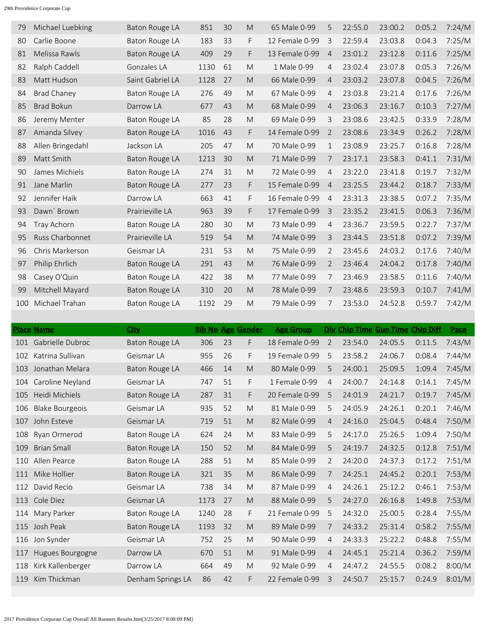| 79  | Michael Luebking   | Baton Rouge LA        | 851  | 30 | M  | 65 Male 0-99   | 5              | 22:55.0 | 23:00.2 | 0:05.2 | 7:24/M |
|-----|--------------------|-----------------------|------|----|----|----------------|----------------|---------|---------|--------|--------|
| 80  | Carlie Boone       | <b>Baton Rouge LA</b> | 183  | 33 | F. | 12 Female 0-99 | 3              | 22:59.4 | 23:03.8 | 0:04.3 | 7:25/M |
| 81  | Melissa Rawls      | <b>Baton Rouge LA</b> | 409  | 29 | F  | 13 Female 0-99 | $\overline{4}$ | 23:01.2 | 23:12.8 | 0:11.6 | 7:25/M |
| 82  | Ralph Caddell      | Gonzales LA           | 1130 | 61 | M  | 1 Male 0-99    | 4              | 23:02.4 | 23:07.8 | 0:05.3 | 7:26/M |
| 83  | Matt Hudson        | Saint Gabriel LA      | 1128 | 27 | M  | 66 Male 0-99   | 4              | 23:03.2 | 23:07.8 | 0:04.5 | 7:26/M |
| 84  | <b>Brad Chaney</b> | <b>Baton Rouge LA</b> | 276  | 49 | M  | 67 Male 0-99   | 4              | 23:03.8 | 23:21.4 | 0:17.6 | 7:26/M |
| 85  | <b>Brad Bokun</b>  | Darrow LA             | 677  | 43 | M  | 68 Male 0-99   | 4              | 23:06.3 | 23:16.7 | 0:10.3 | 7:27/M |
| 86  | Jeremy Menter      | Baton Rouge LA        | 85   | 28 | M  | 69 Male 0-99   | 3              | 23:08.6 | 23:42.5 | 0:33.9 | 7:28/M |
| 87  | Amanda Silvey      | Baton Rouge LA        | 1016 | 43 | F  | 14 Female 0-99 | $\overline{2}$ | 23:08.6 | 23:34.9 | 0:26.2 | 7:28/M |
| 88  | Allen Bringedahl   | Jackson LA            | 205  | 47 | M  | 70 Male 0-99   | $\mathbf{1}$   | 23:08.9 | 23:25.7 | 0:16.8 | 7:28/M |
| 89  | Matt Smith         | Baton Rouge LA        | 1213 | 30 | M  | 71 Male 0-99   | 7              | 23:17.1 | 23:58.3 | 0:41.1 | 7:31/M |
| 90  | James Michiels     | Baton Rouge LA        | 274  | 31 | M  | 72 Male 0-99   | $\overline{4}$ | 23:22.0 | 23:41.8 | 0:19.7 | 7:32/M |
| 91  | Jane Marlin        | <b>Baton Rouge LA</b> | 277  | 23 | F. | 15 Female 0-99 | $\overline{4}$ | 23:25.5 | 23:44.2 | 0:18.7 | 7:33/M |
| 92  | Jennifer Haik      | Darrow LA             | 663  | 41 | F  | 16 Female 0-99 | $\overline{4}$ | 23:31.3 | 23:38.5 | 0:07.2 | 7:35/M |
| 93  | Dawn' Brown        | Prairieville LA       | 963  | 39 | F  | 17 Female 0-99 | $\overline{3}$ | 23:35.2 | 23:41.5 | 0:06.3 | 7:36/M |
| 94  | Tray Achorn        | Baton Rouge LA        | 280  | 30 | M  | 73 Male 0-99   | 4              | 23:36.7 | 23:59.5 | 0:22.7 | 7:37/M |
| 95  | Russ Charbonnet    | Prairieville LA       | 519  | 54 | M  | 74 Male 0-99   | 3              | 23:44.5 | 23:51.8 | 0:07.2 | 7:39/M |
| 96  | Chris Markerson    | Geismar LA            | 231  | 53 | M  | 75 Male 0-99   | 2              | 23:45.6 | 24:03.2 | 0:17.6 | 7:40/M |
| 97  | Philip Ehrlich     | <b>Baton Rouge LA</b> | 291  | 43 | M  | 76 Male 0-99   | 2              | 23:46.4 | 24:04.2 | 0:17.8 | 7:40/M |
| 98  | Casey O'Quin       | <b>Baton Rouge LA</b> | 422  | 38 | M  | 77 Male 0-99   | 7              | 23:46.9 | 23:58.5 | 0:11.6 | 7:40/M |
| 99  | Mitchell Mayard    | Baton Rouge LA        | 310  | 20 | M  | 78 Male 0-99   | 7              | 23:48.6 | 23:59.3 | 0:10.7 | 7:41/M |
| 100 | Michael Trahan     | <b>Baton Rouge LA</b> | 1192 | 29 | M  | 79 Male 0-99   | 7              | 23:53.0 | 24:52.8 | 0:59.7 | 7:42/M |
|     |                    |                       |      |    |    |                |                |         |         |        |        |

|     | <b>Place Name</b>      | <b>City</b>           |      |    | <b>Bib No Age Gender</b> | <b>Age Group</b> |                | Div Chip Time Gun Time Chip Diff |         |        | Pace   |
|-----|------------------------|-----------------------|------|----|--------------------------|------------------|----------------|----------------------------------|---------|--------|--------|
| 101 | Gabrielle Dubroc       | <b>Baton Rouge LA</b> | 306  | 23 | F                        | 18 Female 0-99   | 2              | 23:54.0                          | 24:05.5 | 0:11.5 | 7:43/M |
| 102 | Katrina Sullivan       | Geismar LA            | 955  | 26 | F                        | 19 Female 0-99   | 5              | 23:58.2                          | 24:06.7 | 0:08.4 | 7:44/M |
| 103 | Jonathan Melara        | <b>Baton Rouge LA</b> | 466  | 14 | M                        | 80 Male 0-99     | 5              | 24:00.1                          | 25:09.5 | 1:09.4 | 7:45/M |
| 104 | Caroline Neyland       | Geismar LA            | 747  | 51 | F.                       | 1 Female 0-99    | $\overline{4}$ | 24:00.7                          | 24:14.8 | 0:14.1 | 7:45/M |
| 105 | Heidi Michiels         | <b>Baton Rouge LA</b> | 287  | 31 | F.                       | 20 Female 0-99   | 5              | 24:01.9                          | 24:21.7 | 0:19.7 | 7:45/M |
| 106 | <b>Blake Bourgeois</b> | Geismar LA            | 935  | 52 | M                        | 81 Male 0-99     | 5              | 24:05.9                          | 24:26.1 | 0:20.1 | 7:46/M |
| 107 | John Esteve            | Geismar LA            | 719  | 51 | M                        | 82 Male 0-99     | $\overline{4}$ | 24:16.0                          | 25:04.5 | 0:48.4 | 7:50/M |
| 108 | Ryan Ormerod           | Baton Rouge LA        | 624  | 24 | M                        | 83 Male 0-99     | 5              | 24:17.0                          | 25:26.5 | 1:09.4 | 7:50/M |
| 109 | <b>Brian Small</b>     | Baton Rouge LA        | 150  | 52 | M                        | 84 Male 0-99     | 5              | 24:19.7                          | 24:32.5 | 0:12.8 | 7:51/M |
| 110 | Allen Pearce           | <b>Baton Rouge LA</b> | 288  | 51 | M                        | 85 Male 0-99     | 2              | 24:20.0                          | 24:37.3 | 0:17.2 | 7:51/M |
| 111 | Mike Hollier           | <b>Baton Rouge LA</b> | 321  | 35 | M                        | 86 Male 0-99     | 7              | 24:25.1                          | 24:45.2 | 0:20.1 | 7:53/M |
| 112 | David Recio            | Geismar LA            | 738  | 34 | M                        | 87 Male 0-99     | 4              | 24:26.1                          | 25:12.2 | 0:46.1 | 7:53/M |
| 113 | Cole Diez              | Geismar LA            | 1173 | 27 | M                        | 88 Male 0-99     | 5              | 24:27.0                          | 26:16.8 | 1:49.8 | 7:53/M |
| 114 | Mary Parker            | <b>Baton Rouge LA</b> | 1240 | 28 | F.                       | 21 Female 0-99   | 5              | 24:32.0                          | 25:00.5 | 0:28.4 | 7:55/M |
| 115 | Josh Peak              | Baton Rouge LA        | 1193 | 32 | M                        | 89 Male 0-99     | 7              | 24:33.2                          | 25:31.4 | 0:58.2 | 7:55/M |
| 116 | Jon Synder             | Geismar LA            | 752  | 25 | M                        | 90 Male 0-99     | 4              | 24:33.3                          | 25:22.2 | 0:48.8 | 7:55/M |
| 117 | Hugues Bourgogne       | Darrow LA             | 670  | 51 | M                        | 91 Male 0-99     | $\overline{4}$ | 24:45.1                          | 25:21.4 | 0:36.2 | 7:59/M |
| 118 | Kirk Kallenberger      | Darrow LA             | 664  | 49 | M                        | 92 Male 0-99     | 4              | 24:47.2                          | 24:55.5 | 0:08.2 | 8:00/M |
| 119 | Kim Thickman           | Denham Springs LA     | 86   | 42 | F                        | 22 Female 0-99   | $\overline{3}$ | 24:50.7                          | 25:15.7 | 0:24.9 | 8:01/M |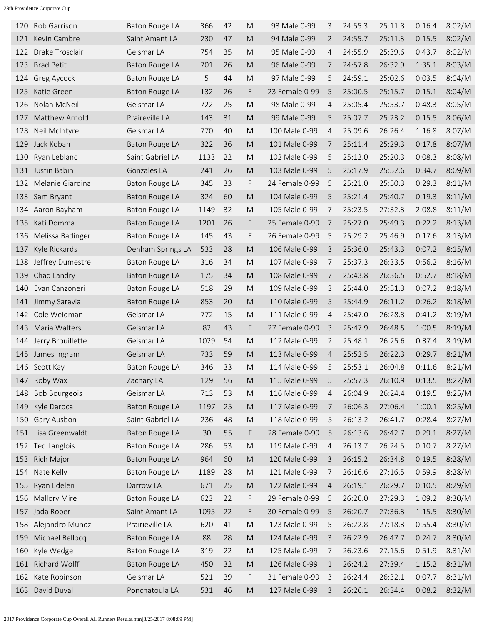| 120 | Rob Garrison         | <b>Baton Rouge LA</b> | 366  | 42 | M                                                                                                          | 93 Male 0-99   | 3              | 24:55.3 | 25:11.8 | 0:16.4 | 8:02/M |
|-----|----------------------|-----------------------|------|----|------------------------------------------------------------------------------------------------------------|----------------|----------------|---------|---------|--------|--------|
| 121 | Kevin Cambre         | Saint Amant LA        | 230  | 47 | M                                                                                                          | 94 Male 0-99   | $\overline{2}$ | 24:55.7 | 25:11.3 | 0:15.5 | 8:02/M |
| 122 | Drake Trosclair      | Geismar LA            | 754  | 35 | M                                                                                                          | 95 Male 0-99   | 4              | 24:55.9 | 25:39.6 | 0:43.7 | 8:02/M |
| 123 | <b>Brad Petit</b>    | Baton Rouge LA        | 701  | 26 | M                                                                                                          | 96 Male 0-99   | 7              | 24:57.8 | 26:32.9 | 1:35.1 | 8:03/M |
| 124 | Greg Aycock          | Baton Rouge LA        | 5    | 44 | M                                                                                                          | 97 Male 0-99   | 5              | 24:59.1 | 25:02.6 | 0:03.5 | 8:04/M |
| 125 | Katie Green          | Baton Rouge LA        | 132  | 26 | F                                                                                                          | 23 Female 0-99 | 5              | 25:00.5 | 25:15.7 | 0:15.1 | 8:04/M |
| 126 | Nolan McNeil         | Geismar LA            | 722  | 25 | M                                                                                                          | 98 Male 0-99   | 4              | 25:05.4 | 25:53.7 | 0:48.3 | 8:05/M |
| 127 | Matthew Arnold       | Praireville LA        | 143  | 31 | M                                                                                                          | 99 Male 0-99   | 5              | 25:07.7 | 25:23.2 | 0:15.5 | 8:06/M |
| 128 | Neil McIntyre        | Geismar LA            | 770  | 40 | M                                                                                                          | 100 Male 0-99  | $\overline{4}$ | 25:09.6 | 26:26.4 | 1:16.8 | 8:07/M |
| 129 | Jack Koban           | Baton Rouge LA        | 322  | 36 | M                                                                                                          | 101 Male 0-99  | 7              | 25:11.4 | 25:29.3 | 0:17.8 | 8:07/M |
| 130 | Ryan Leblanc         | Saint Gabriel LA      | 1133 | 22 | M                                                                                                          | 102 Male 0-99  | 5              | 25:12.0 | 25:20.3 | 0:08.3 | 8:08/M |
| 131 | Justin Babin         | Gonzales LA           | 241  | 26 | M                                                                                                          | 103 Male 0-99  | 5              | 25:17.9 | 25:52.6 | 0:34.7 | 8:09/M |
| 132 | Melanie Giardina     | <b>Baton Rouge LA</b> | 345  | 33 | F                                                                                                          | 24 Female 0-99 | 5              | 25:21.0 | 25:50.3 | 0:29.3 | 8:11/M |
| 133 | Sam Bryant           | Baton Rouge LA        | 324  | 60 | M                                                                                                          | 104 Male 0-99  | 5              | 25:21.4 | 25:40.7 | 0:19.3 | 8:11/M |
| 134 | Aaron Bayham         | Baton Rouge LA        | 1149 | 32 | M                                                                                                          | 105 Male 0-99  | 7              | 25:23.5 | 27:32.3 | 2:08.8 | 8:11/M |
| 135 | Kati Domma           | <b>Baton Rouge LA</b> | 1201 | 26 | F                                                                                                          | 25 Female 0-99 | -7             | 25:27.0 | 25:49.3 | 0:22.2 | 8:13/M |
| 136 | Melissa Badinger     | Baton Rouge LA        | 145  | 43 | F                                                                                                          | 26 Female 0-99 | 5              | 25:29.2 | 25:46.9 | 0:17.6 | 8:13/M |
| 137 | Kyle Rickards        | Denham Springs LA     | 533  | 28 | M                                                                                                          | 106 Male 0-99  | 3              | 25:36.0 | 25:43.3 | 0:07.2 | 8:15/M |
| 138 | Jeffrey Dumestre     | Baton Rouge LA        | 316  | 34 | M                                                                                                          | 107 Male 0-99  | 7              | 25:37.3 | 26:33.5 | 0:56.2 | 8:16/M |
| 139 | Chad Landry          | Baton Rouge LA        | 175  | 34 | M                                                                                                          | 108 Male 0-99  | 7              | 25:43.8 | 26:36.5 | 0:52.7 | 8:18/M |
| 140 | Evan Canzoneri       | <b>Baton Rouge LA</b> | 518  | 29 | M                                                                                                          | 109 Male 0-99  | 3              | 25:44.0 | 25:51.3 | 0:07.2 | 8:18/M |
| 141 | Jimmy Saravia        | <b>Baton Rouge LA</b> | 853  | 20 | M                                                                                                          | 110 Male 0-99  | 5              | 25:44.9 | 26:11.2 | 0:26.2 | 8:18/M |
| 142 | Cole Weidman         | Geismar LA            | 772  | 15 | M                                                                                                          | 111 Male 0-99  | 4              | 25:47.0 | 26:28.3 | 0:41.2 | 8:19/M |
| 143 | Maria Walters        | Geismar LA            | 82   | 43 | F                                                                                                          | 27 Female 0-99 | $\overline{3}$ | 25:47.9 | 26:48.5 | 1:00.5 | 8:19/M |
| 144 | Jerry Brouillette    | Geismar LA            | 1029 | 54 | M                                                                                                          | 112 Male 0-99  | $\overline{2}$ | 25:48.1 | 26:25.6 | 0:37.4 | 8:19/M |
| 145 | James Ingram         | Geismar LA            | 733  | 59 | M                                                                                                          | 113 Male 0-99  | $\overline{4}$ | 25:52.5 | 26:22.3 | 0:29.7 | 8:21/M |
|     | 146 Scott Kay        | Baton Rouge LA        | 346  | 33 | M                                                                                                          | 114 Male 0-99  | 5              | 25:53.1 | 26:04.8 | 0:11.6 | 8:21/M |
| 147 | Roby Wax             | Zachary LA            | 129  | 56 | M                                                                                                          | 115 Male 0-99  | 5              | 25:57.3 | 26:10.9 | 0:13.5 | 8:22/M |
| 148 | <b>Bob Bourgeois</b> | Geismar LA            | 713  | 53 | ${\sf M}$                                                                                                  | 116 Male 0-99  | 4              | 26:04.9 | 26:24.4 | 0:19.5 | 8:25/M |
| 149 | Kyle Daroca          | <b>Baton Rouge LA</b> | 1197 | 25 | ${\sf M}$                                                                                                  | 117 Male 0-99  | 7              | 26:06.3 | 27:06.4 | 1:00.1 | 8:25/M |
| 150 | Gary Ausbon          | Saint Gabriel LA      | 236  | 48 | ${\sf M}$                                                                                                  | 118 Male 0-99  | 5              | 26:13.2 | 26:41.7 | 0:28.4 | 8:27/M |
| 151 | Lisa Greenwaldt      | <b>Baton Rouge LA</b> | 30   | 55 | F                                                                                                          | 28 Female 0-99 | 5              | 26:13.6 | 26:42.7 | 0:29.1 | 8:27/M |
| 152 | Ted Langlois         | Baton Rouge LA        | 286  | 53 | $\mathsf{M}% _{T}=\mathsf{M}_{T}\!\left( a,b\right) ,\ \mathsf{M}_{T}=\mathsf{M}_{T}\!\left( a,b\right) ,$ | 119 Male 0-99  | 4              | 26:13.7 | 26:24.5 | 0:10.7 | 8:27/M |
| 153 | Rich Major           | <b>Baton Rouge LA</b> | 964  | 60 | $\mathsf{M}% _{T}=\mathsf{M}_{T}\!\left( a,b\right) ,\ \mathsf{M}_{T}=\mathsf{M}_{T}\!\left( a,b\right) ,$ | 120 Male 0-99  | 3              | 26:15.2 | 26:34.8 | 0:19.5 | 8:28/M |
| 154 | Nate Kelly           | Baton Rouge LA        | 1189 | 28 | $\mathsf{M}% _{T}=\mathsf{M}_{T}\!\left( a,b\right) ,\ \mathsf{M}_{T}=\mathsf{M}_{T}\!\left( a,b\right) ,$ | 121 Male 0-99  | 7              | 26:16.6 | 27:16.5 | 0:59.9 | 8:28/M |
| 155 | Ryan Edelen          | Darrow LA             | 671  | 25 | $\mathsf{M}% _{T}=\mathsf{M}_{T}\!\left( a,b\right) ,\ \mathsf{M}_{T}=\mathsf{M}_{T}\!\left( a,b\right) ,$ | 122 Male 0-99  | 4              | 26:19.1 | 26:29.7 | 0:10.5 | 8:29/M |
| 156 | <b>Mallory Mire</b>  | <b>Baton Rouge LA</b> | 623  | 22 | F                                                                                                          | 29 Female 0-99 | 5              | 26:20.0 | 27:29.3 | 1:09.2 | 8:30/M |
| 157 | Jada Roper           | Saint Amant LA        | 1095 | 22 | F                                                                                                          | 30 Female 0-99 | 5              | 26:20.7 | 27:36.3 | 1:15.5 | 8:30/M |
| 158 | Alejandro Munoz      | Prairieville LA       | 620  | 41 | $\mathsf{M}% _{T}=\mathsf{M}_{T}\!\left( a,b\right) ,\ \mathsf{M}_{T}=\mathsf{M}_{T}\!\left( a,b\right) ,$ | 123 Male 0-99  | 5              | 26:22.8 | 27:18.3 | 0:55.4 | 8:30/M |
| 159 | Michael Bellocq      | Baton Rouge LA        | 88   | 28 | $\mathsf{M}% _{T}=\mathsf{M}_{T}\!\left( a,b\right) ,\ \mathsf{M}_{T}=\mathsf{M}_{T}\!\left( a,b\right) ,$ | 124 Male 0-99  | 3              | 26:22.9 | 26:47.7 | 0:24.7 | 8:30/M |
| 160 | Kyle Wedge           | <b>Baton Rouge LA</b> | 319  | 22 | $\mathsf{M}% _{T}=\mathsf{M}_{T}\!\left( a,b\right) ,\ \mathsf{M}_{T}=\mathsf{M}_{T}\!\left( a,b\right) ,$ | 125 Male 0-99  | 7              | 26:23.6 | 27:15.6 | 0:51.9 | 8:31/M |
| 161 | Richard Wolff        | <b>Baton Rouge LA</b> | 450  | 32 | $\mathsf{M}% _{T}=\mathsf{M}_{T}\!\left( a,b\right) ,\ \mathsf{M}_{T}=\mathsf{M}_{T}\!\left( a,b\right) ,$ | 126 Male 0-99  | $\mathbf 1$    | 26:24.2 | 27:39.4 | 1:15.2 | 8:31/M |
| 162 | Kate Robinson        | Geismar LA            | 521  | 39 | F                                                                                                          | 31 Female 0-99 | 3              | 26:24.4 | 26:32.1 | 0:07.7 | 8:31/M |
| 163 | David Duval          | Ponchatoula LA        | 531  | 46 | ${\sf M}$                                                                                                  | 127 Male 0-99  | 3              | 26:26.1 | 26:34.4 | 0:08.2 | 8:32/M |
|     |                      |                       |      |    |                                                                                                            |                |                |         |         |        |        |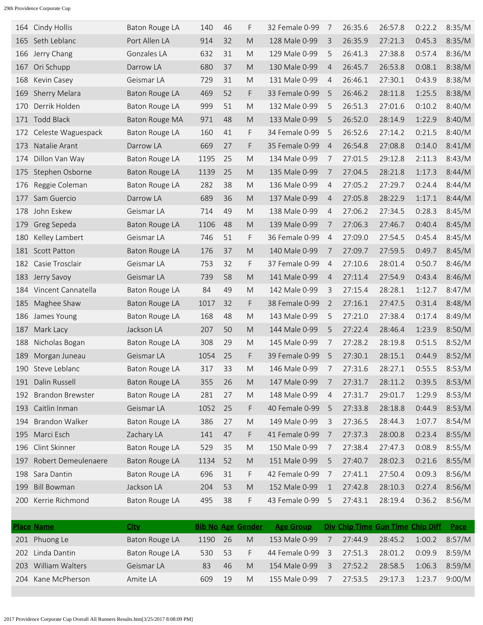| 164 | Cindy Hollis            | Baton Rouge LA        | 140  | 46 | F                                                                                                          | 32 Female 0-99 | 7              | 26:35.6 | 26:57.8 | 0:22.2 | 8:35/M |
|-----|-------------------------|-----------------------|------|----|------------------------------------------------------------------------------------------------------------|----------------|----------------|---------|---------|--------|--------|
| 165 | Seth Leblanc            | Port Allen LA         | 914  | 32 | M                                                                                                          | 128 Male 0-99  | 3              | 26:35.9 | 27:21.3 | 0:45.3 | 8:35/M |
| 166 | Jerry Chang             | Gonzales LA           | 632  | 31 | M                                                                                                          | 129 Male 0-99  | 5              | 26:41.3 | 27:38.8 | 0:57.4 | 8:36/M |
| 167 | Ori Schupp              | Darrow LA             | 680  | 37 | M                                                                                                          | 130 Male 0-99  | $\overline{4}$ | 26:45.7 | 26:53.8 | 0:08.1 | 8:38/M |
| 168 | Kevin Casey             | Geismar LA            | 729  | 31 | M                                                                                                          | 131 Male 0-99  | $\overline{4}$ | 26:46.1 | 27:30.1 | 0:43.9 | 8:38/M |
| 169 | Sherry Melara           | Baton Rouge LA        | 469  | 52 | F                                                                                                          | 33 Female 0-99 | 5              | 26:46.2 | 28:11.8 | 1:25.5 | 8:38/M |
| 170 | Derrik Holden           | Baton Rouge LA        | 999  | 51 | M                                                                                                          | 132 Male 0-99  | 5              | 26:51.3 | 27:01.6 | 0:10.2 | 8:40/M |
| 171 | <b>Todd Black</b>       | Baton Rouge MA        | 971  | 48 | M                                                                                                          | 133 Male 0-99  | 5              | 26:52.0 | 28:14.9 | 1:22.9 | 8:40/M |
| 172 | Celeste Waguespack      | Baton Rouge LA        | 160  | 41 | F.                                                                                                         | 34 Female 0-99 | 5              | 26:52.6 | 27:14.2 | 0:21.5 | 8:40/M |
| 173 | Natalie Arant           | Darrow LA             | 669  | 27 | F                                                                                                          | 35 Female 0-99 | $\overline{4}$ | 26:54.8 | 27:08.8 | 0:14.0 | 8:41/M |
| 174 | Dillon Van Way          | Baton Rouge LA        | 1195 | 25 | M                                                                                                          | 134 Male 0-99  | 7              | 27:01.5 | 29:12.8 | 2:11.3 | 8:43/M |
| 175 | Stephen Osborne         | Baton Rouge LA        | 1139 | 25 | M                                                                                                          | 135 Male 0-99  | 7              | 27:04.5 | 28:21.8 | 1:17.3 | 8:44/M |
| 176 | Reggie Coleman          | Baton Rouge LA        | 282  | 38 | M                                                                                                          | 136 Male 0-99  | $\overline{4}$ | 27:05.2 | 27:29.7 | 0:24.4 | 8:44/M |
| 177 | Sam Guercio             | Darrow LA             | 689  | 36 | M                                                                                                          | 137 Male 0-99  | $\overline{4}$ | 27:05.8 | 28:22.9 | 1:17.1 | 8:44/M |
| 178 | John Eskew              | Geismar LA            | 714  | 49 | M                                                                                                          | 138 Male 0-99  | $\overline{4}$ | 27:06.2 | 27:34.5 | 0:28.3 | 8:45/M |
| 179 | Greg Sepeda             | Baton Rouge LA        | 1106 | 48 | M                                                                                                          | 139 Male 0-99  | 7              | 27:06.3 | 27:46.7 | 0:40.4 | 8:45/M |
| 180 | Kelley Lambert          | Geismar LA            | 746  | 51 | F                                                                                                          | 36 Female 0-99 | $\overline{4}$ | 27:09.0 | 27:54.5 | 0:45.4 | 8:45/M |
|     | 181 Scott Patton        | Baton Rouge LA        | 176  | 37 | M                                                                                                          | 140 Male 0-99  | 7              | 27:09.7 | 27:59.5 | 0:49.7 | 8:45/M |
| 182 | Casie Trosclair         | Geismar LA            | 753  | 32 | F                                                                                                          | 37 Female 0-99 | $\overline{4}$ | 27:10.6 | 28:01.4 | 0:50.7 | 8:46/M |
| 183 | Jerry Savoy             | Geismar LA            | 739  | 58 | M                                                                                                          | 141 Male 0-99  | $\overline{4}$ | 27:11.4 | 27:54.9 | 0:43.4 | 8:46/M |
| 184 | Vincent Cannatella      | Baton Rouge LA        | 84   | 49 | M                                                                                                          | 142 Male 0-99  | 3              | 27:15.4 | 28:28.1 | 1:12.7 | 8:47/M |
| 185 | Maghee Shaw             | Baton Rouge LA        | 1017 | 32 | F                                                                                                          | 38 Female 0-99 | 2              | 27:16.1 | 27:47.5 | 0:31.4 | 8:48/M |
| 186 | James Young             | Baton Rouge LA        | 168  | 48 | M                                                                                                          | 143 Male 0-99  | 5              | 27:21.0 | 27:38.4 | 0:17.4 | 8:49/M |
| 187 | Mark Lacy               | Jackson LA            | 207  | 50 | M                                                                                                          | 144 Male 0-99  | 5              | 27:22.4 | 28:46.4 | 1:23.9 | 8:50/M |
| 188 | Nicholas Bogan          | Baton Rouge LA        | 308  | 29 | M                                                                                                          | 145 Male 0-99  | 7              | 27:28.2 | 28:19.8 | 0:51.5 | 8:52/M |
| 189 | Morgan Juneau           | Geismar LA            | 1054 | 25 | F                                                                                                          | 39 Female 0-99 | 5              | 27:30.1 | 28:15.1 | 0:44.9 | 8:52/M |
| 190 | Steve Leblanc           | Baton Rouge LA        | 317  | 33 | M                                                                                                          | 146 Male 0-99  | 7              | 27:31.6 | 28:27.1 | 0:55.5 | 8:53/M |
|     | 191 Dalin Russell       | <b>Baton Rouge LA</b> | 355  | 26 | M                                                                                                          | 147 Male 0-99  | 7              | 27:31.7 | 28:11.2 | 0:39.5 | 8:53/M |
| 192 | <b>Brandon Brewster</b> | Baton Rouge LA        | 281  | 27 | M                                                                                                          | 148 Male 0-99  | $\overline{4}$ | 27:31.7 | 29:01.7 | 1:29.9 | 8:53/M |
| 193 | Caitlin Inman           | Geismar LA            | 1052 | 25 | F                                                                                                          | 40 Female 0-99 | 5              | 27:33.8 | 28:18.8 | 0:44.9 | 8:53/M |
| 194 | <b>Brandon Walker</b>   | Baton Rouge LA        | 386  | 27 | $\mathsf{M}% _{T}=\mathsf{M}_{T}\!\left( a,b\right) ,\ \mathsf{M}_{T}=\mathsf{M}_{T}\!\left( a,b\right) ,$ | 149 Male 0-99  | 3              | 27:36.5 | 28:44.3 | 1:07.7 | 8:54/M |
| 195 | Marci Esch              | Zachary LA            | 141  | 47 | F                                                                                                          | 41 Female 0-99 | 7              | 27:37.3 | 28:00.8 | 0:23.4 | 8:55/M |
| 196 | Clint Skinner           | Baton Rouge LA        | 529  | 35 | ${\sf M}$                                                                                                  | 150 Male 0-99  | 7              | 27:38.4 | 27:47.3 | 0:08.9 | 8:55/M |
| 197 | Robert Demeulenaere     | <b>Baton Rouge LA</b> | 1134 | 52 | ${\sf M}$                                                                                                  | 151 Male 0-99  | 5              | 27:40.7 | 28:02.3 | 0:21.6 | 8:55/M |
|     | 198 Sara Dantin         | Baton Rouge LA        | 696  | 31 | F                                                                                                          | 42 Female 0-99 | 7              | 27:41.1 | 27:50.4 | 0:09.3 | 8:56/M |
| 199 | <b>Bill Bowman</b>      | Jackson LA            | 204  | 53 | ${\sf M}$                                                                                                  | 152 Male 0-99  | $\mathbf{1}$   | 27:42.8 | 28:10.3 | 0:27.4 | 8:56/M |
| 200 | Kerrie Richmond         | Baton Rouge LA        | 495  | 38 | F                                                                                                          | 43 Female 0-99 | 5              | 27:43.1 | 28:19.4 | 0:36.2 | 8:56/M |
|     |                         |                       |      |    |                                                                                                            |                |                |         |         |        |        |

|     | <b>Place Name</b>  | City           | <b>Bib No Age Gender</b> |    |              | <b>Age Group</b> |   | Div Chip Time Gun Time Chip Diff |         |        | Pace   |
|-----|--------------------|----------------|--------------------------|----|--------------|------------------|---|----------------------------------|---------|--------|--------|
|     | 201 Phuong Le      | Baton Rouge LA | 1190                     | 26 | $\mathsf{M}$ | 153 Male 0-99    |   | 27:44.9                          | 28:45.2 | 1:00.2 | 8:57/M |
|     | 202 Linda Dantin   | Baton Rouge LA | 530                      | 53 |              | 44 Female 0-99   | 3 | 27:51.3                          | 28:01.2 | 0:09.9 | 8:59/M |
| 203 | William Walters    | Geismar LA     | 83                       | 46 | $\mathsf{M}$ | 154 Male 0-99    | 3 | 27:52.2                          | 28:58.5 | 1:06.3 | 8:59/M |
|     | 204 Kane McPherson | Amite LA       | 609                      | 19 | M            | 155 Male 0-99    |   | 27:53.5                          | 29:17.3 | 1:23.7 | 9:00/M |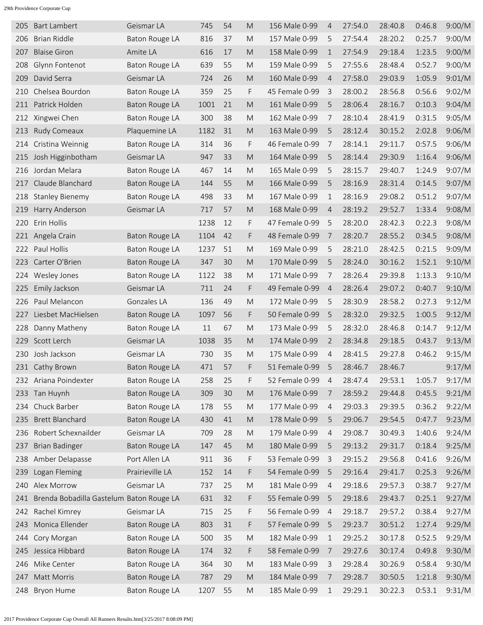| 205 | <b>Bart Lambert</b>                      | Geismar LA            | 745  | 54 | M                                                                                                          | 156 Male 0-99  | 4              | 27:54.0 | 28:40.8 | 0:46.8 | 9:00/M |
|-----|------------------------------------------|-----------------------|------|----|------------------------------------------------------------------------------------------------------------|----------------|----------------|---------|---------|--------|--------|
| 206 | <b>Brian Riddle</b>                      | Baton Rouge LA        | 816  | 37 | M                                                                                                          | 157 Male 0-99  | 5              | 27:54.4 | 28:20.2 | 0:25.7 | 9:00/M |
| 207 | <b>Blaise Giron</b>                      | Amite LA              | 616  | 17 | M                                                                                                          | 158 Male 0-99  | $\mathbf{1}$   | 27:54.9 | 29:18.4 | 1:23.5 | 9:00/M |
| 208 | Glynn Fontenot                           | <b>Baton Rouge LA</b> | 639  | 55 | M                                                                                                          | 159 Male 0-99  | 5              | 27:55.6 | 28:48.4 | 0:52.7 | 9:00/M |
| 209 | David Serra                              | Geismar LA            | 724  | 26 | M                                                                                                          | 160 Male 0-99  | $\overline{4}$ | 27:58.0 | 29:03.9 | 1:05.9 | 9:01/M |
| 210 | Chelsea Bourdon                          | Baton Rouge LA        | 359  | 25 | F                                                                                                          | 45 Female 0-99 | 3              | 28:00.2 | 28:56.8 | 0:56.6 | 9:02/M |
| 211 | Patrick Holden                           | Baton Rouge LA        | 1001 | 21 | M                                                                                                          | 161 Male 0-99  | 5              | 28:06.4 | 28:16.7 | 0:10.3 | 9:04/M |
| 212 | Xingwei Chen                             | <b>Baton Rouge LA</b> | 300  | 38 | M                                                                                                          | 162 Male 0-99  | 7              | 28:10.4 | 28:41.9 | 0:31.5 | 9:05/M |
| 213 | Rudy Comeaux                             | Plaquemine LA         | 1182 | 31 | M                                                                                                          | 163 Male 0-99  | 5              | 28:12.4 | 30:15.2 | 2:02.8 | 9:06/M |
| 214 | Cristina Weinnig                         | Baton Rouge LA        | 314  | 36 | F                                                                                                          | 46 Female 0-99 | 7              | 28:14.1 | 29:11.7 | 0:57.5 | 9:06/M |
| 215 | Josh Higginbotham                        | Geismar LA            | 947  | 33 | M                                                                                                          | 164 Male 0-99  | 5              | 28:14.4 | 29:30.9 | 1:16.4 | 9:06/M |
| 216 | Jordan Melara                            | <b>Baton Rouge LA</b> | 467  | 14 | M                                                                                                          | 165 Male 0-99  | 5              | 28:15.7 | 29:40.7 | 1:24.9 | 9:07/M |
| 217 | Claude Blanchard                         | <b>Baton Rouge LA</b> | 144  | 55 | M                                                                                                          | 166 Male 0-99  | 5              | 28:16.9 | 28:31.4 | 0:14.5 | 9:07/M |
| 218 | <b>Stanley Bienemy</b>                   | Baton Rouge LA        | 498  | 33 | M                                                                                                          | 167 Male 0-99  | 1              | 28:16.9 | 29:08.2 | 0:51.2 | 9:07/M |
| 219 | Harry Anderson                           | Geismar LA            | 717  | 57 | M                                                                                                          | 168 Male 0-99  | $\overline{4}$ | 28:19.2 | 29:52.7 | 1:33.4 | 9:08/M |
| 220 | Erin Hollis                              |                       | 1238 | 12 | F                                                                                                          | 47 Female 0-99 | 5              | 28:20.0 | 28:42.3 | 0:22.3 | 9:08/M |
| 221 | Angela Crain                             | <b>Baton Rouge LA</b> | 1104 | 42 | F                                                                                                          | 48 Female 0-99 | 7              | 28:20.7 | 28:55.2 | 0:34.5 | 9:08/M |
| 222 | Paul Hollis                              | Baton Rouge LA        | 1237 | 51 | M                                                                                                          | 169 Male 0-99  | 5              | 28:21.0 | 28:42.5 | 0:21.5 | 9:09/M |
| 223 | Carter O'Brien                           | <b>Baton Rouge LA</b> | 347  | 30 | M                                                                                                          | 170 Male 0-99  | 5              | 28:24.0 | 30:16.2 | 1:52.1 | 9:10/M |
| 224 | Wesley Jones                             | Baton Rouge LA        | 1122 | 38 | M                                                                                                          | 171 Male 0-99  | 7              | 28:26.4 | 29:39.8 | 1:13.3 | 9:10/M |
| 225 | Emily Jackson                            | Geismar LA            | 711  | 24 | F                                                                                                          | 49 Female 0-99 | $\overline{4}$ | 28:26.4 | 29:07.2 | 0:40.7 | 9:10/M |
| 226 | Paul Melancon                            | Gonzales LA           | 136  | 49 | M                                                                                                          | 172 Male 0-99  | 5              | 28:30.9 | 28:58.2 | 0:27.3 | 9:12/M |
| 227 | Liesbet MacHielsen                       | Baton Rouge LA        | 1097 | 56 | F                                                                                                          | 50 Female 0-99 | 5              | 28:32.0 | 29:32.5 | 1:00.5 | 9:12/M |
| 228 | Danny Matheny                            | <b>Baton Rouge LA</b> | 11   | 67 | M                                                                                                          | 173 Male 0-99  | 5              | 28:32.0 | 28:46.8 | 0:14.7 | 9:12/M |
| 229 | Scott Lerch                              | Geismar LA            | 1038 | 35 | M                                                                                                          | 174 Male 0-99  | $\overline{2}$ | 28:34.8 | 29:18.5 | 0:43.7 | 9:13/M |
| 230 | Josh Jackson                             | Geismar LA            | 730  | 35 | M                                                                                                          | 175 Male 0-99  | $\overline{4}$ | 28:41.5 | 29:27.8 | 0:46.2 | 9:15/M |
|     | 231 Cathy Brown                          | Baton Rouge LA        | 471  | 57 | F                                                                                                          | 51 Female 0-99 | 5              | 28:46.7 | 28:46.7 |        | 9:17/M |
|     | 232 Ariana Poindexter                    | Baton Rouge LA        | 258  | 25 | F                                                                                                          | 52 Female 0-99 | 4              | 28:47.4 | 29:53.1 | 1:05.7 | 9:17/M |
|     | 233 Tan Huynh                            | <b>Baton Rouge LA</b> | 309  | 30 | $\mathsf{M}% _{T}=\mathsf{M}_{T}\!\left( a,b\right) ,\ \mathsf{M}_{T}=\mathsf{M}_{T}\!\left( a,b\right) ,$ | 176 Male 0-99  | 7              | 28:59.2 | 29:44.8 | 0:45.5 | 9:21/M |
| 234 | Chuck Barber                             | Baton Rouge LA        | 178  | 55 | ${\sf M}$                                                                                                  | 177 Male 0-99  | 4              | 29:03.3 | 29:39.5 | 0:36.2 | 9:22/M |
| 235 | <b>Brett Blanchard</b>                   | <b>Baton Rouge LA</b> | 430  | 41 | $\mathsf{M}% _{T}=\mathsf{M}_{T}\!\left( a,b\right) ,\ \mathsf{M}_{T}=\mathsf{M}_{T}\!\left( a,b\right) ,$ | 178 Male 0-99  | 5              | 29:06.7 | 29:54.5 | 0:47.7 | 9:23/M |
| 236 | Robert Schexnailder                      | Geismar LA            | 709  | 28 | M                                                                                                          | 179 Male 0-99  | 4              | 29:08.7 | 30:49.3 | 1:40.6 | 9:24/M |
| 237 | <b>Brian Badinger</b>                    | <b>Baton Rouge LA</b> | 147  | 45 | $\mathsf{M}% _{T}=\mathsf{M}_{T}\!\left( a,b\right) ,\ \mathsf{M}_{T}=\mathsf{M}_{T}\!\left( a,b\right) ,$ | 180 Male 0-99  | 5              | 29:13.2 | 29:31.7 | 0:18.4 | 9:25/M |
| 238 | Amber Delapasse                          | Port Allen LA         | 911  | 36 | F                                                                                                          | 53 Female 0-99 | 3              | 29:15.2 | 29:56.8 | 0:41.6 | 9:26/M |
| 239 | Logan Fleming                            | Prairieville LA       | 152  | 14 | F                                                                                                          | 54 Female 0-99 | 5              | 29:16.4 | 29:41.7 | 0:25.3 | 9:26/M |
| 240 | Alex Morrow                              | Geismar LA            | 737  | 25 | ${\sf M}$                                                                                                  | 181 Male 0-99  | $\overline{4}$ | 29:18.6 | 29:57.3 | 0:38.7 | 9:27/M |
| 241 | Brenda Bobadilla Gastelum Baton Rouge LA |                       | 631  | 32 | F                                                                                                          | 55 Female 0-99 | 5              | 29:18.6 | 29:43.7 | 0:25.1 | 9:27/M |
| 242 | Rachel Kimrey                            | Geismar LA            | 715  | 25 | F                                                                                                          | 56 Female 0-99 | $\overline{4}$ | 29:18.7 | 29:57.2 | 0:38.4 | 9:27/M |
| 243 | Monica Ellender                          | <b>Baton Rouge LA</b> | 803  | 31 | F                                                                                                          | 57 Female 0-99 | 5              | 29:23.7 | 30:51.2 | 1:27.4 | 9:29/M |
| 244 | Cory Morgan                              | Baton Rouge LA        | 500  | 35 | M                                                                                                          | 182 Male 0-99  | 1              | 29:25.2 | 30:17.8 | 0:52.5 | 9:29/M |
| 245 | Jessica Hibbard                          | <b>Baton Rouge LA</b> | 174  | 32 | F                                                                                                          | 58 Female 0-99 | 7              | 29:27.6 | 30:17.4 | 0:49.8 | 9:30/M |
| 246 | Mike Center                              | <b>Baton Rouge LA</b> | 364  | 30 | $\mathsf{M}% _{T}=\mathsf{M}_{T}\!\left( a,b\right) ,\ \mathsf{M}_{T}=\mathsf{M}_{T}\!\left( a,b\right) ,$ | 183 Male 0-99  | 3              | 29:28.4 | 30:26.9 | 0:58.4 | 9:30/M |
| 247 | Matt Morris                              | <b>Baton Rouge LA</b> | 787  | 29 | ${\sf M}$                                                                                                  | 184 Male 0-99  | 7              | 29:28.7 | 30:50.5 | 1:21.8 | 9:30/M |
| 248 | Bryon Hume                               | <b>Baton Rouge LA</b> | 1207 | 55 | ${\sf M}$                                                                                                  | 185 Male 0-99  | 1              | 29:29.1 | 30:22.3 | 0:53.1 | 9:31/M |
|     |                                          |                       |      |    |                                                                                                            |                |                |         |         |        |        |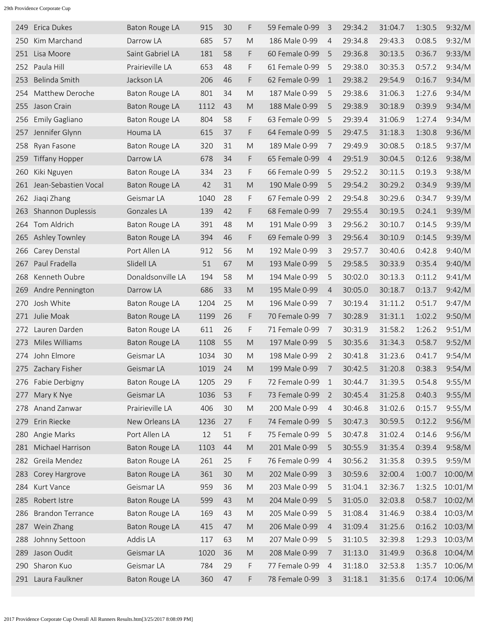| 249 | Erica Dukes             | Baton Rouge LA        | 915  | 30 | F         | 59 Female 0-99 | 3              | 29:34.2 | 31:04.7 | 1:30.5 | 9:32/M  |
|-----|-------------------------|-----------------------|------|----|-----------|----------------|----------------|---------|---------|--------|---------|
| 250 | Kim Marchand            | Darrow LA             | 685  | 57 | M         | 186 Male 0-99  | $\overline{4}$ | 29:34.8 | 29:43.3 | 0:08.5 | 9:32/M  |
| 251 | Lisa Moore              | Saint Gabriel LA      | 181  | 58 | F.        | 60 Female 0-99 | 5              | 29:36.8 | 30:13.5 | 0:36.7 | 9:33/M  |
| 252 | Paula Hill              | Prairieville LA       | 653  | 48 | F         | 61 Female 0-99 | 5              | 29:38.0 | 30:35.3 | 0:57.2 | 9:34/M  |
| 253 | Belinda Smith           | Jackson LA            | 206  | 46 | F         | 62 Female 0-99 | $\mathbf 1$    | 29:38.2 | 29:54.9 | 0:16.7 | 9:34/M  |
| 254 | Matthew Deroche         | Baton Rouge LA        | 801  | 34 | M         | 187 Male 0-99  | 5              | 29:38.6 | 31:06.3 | 1:27.6 | 9:34/M  |
| 255 | Jason Crain             | Baton Rouge LA        | 1112 | 43 | M         | 188 Male 0-99  | 5              | 29:38.9 | 30:18.9 | 0:39.9 | 9:34/M  |
| 256 | Emily Gagliano          | Baton Rouge LA        | 804  | 58 | F         | 63 Female 0-99 | 5              | 29:39.4 | 31:06.9 | 1:27.4 | 9:34/M  |
| 257 | Jennifer Glynn          | Houma LA              | 615  | 37 | F         | 64 Female 0-99 | 5              | 29:47.5 | 31:18.3 | 1:30.8 | 9:36/M  |
| 258 | Ryan Fasone             | <b>Baton Rouge LA</b> | 320  | 31 | M         | 189 Male 0-99  | 7              | 29:49.9 | 30:08.5 | 0:18.5 | 9:37/M  |
| 259 | <b>Tiffany Hopper</b>   | Darrow LA             | 678  | 34 | F.        | 65 Female 0-99 | $\overline{4}$ | 29:51.9 | 30:04.5 | 0:12.6 | 9:38/M  |
| 260 | Kiki Nguyen             | Baton Rouge LA        | 334  | 23 | F         | 66 Female 0-99 | 5              | 29:52.2 | 30:11.5 | 0:19.3 | 9:38/M  |
| 261 | Jean-Sebastien Vocal    | <b>Baton Rouge LA</b> | 42   | 31 | M         | 190 Male 0-99  | 5              | 29:54.2 | 30:29.2 | 0:34.9 | 9:39/M  |
| 262 | Jiagi Zhang             | Geismar LA            | 1040 | 28 | F         | 67 Female 0-99 | $\overline{2}$ | 29:54.8 | 30:29.6 | 0:34.7 | 9:39/M  |
| 263 | Shannon Duplessis       | Gonzales LA           | 139  | 42 | F         | 68 Female 0-99 | 7              | 29:55.4 | 30:19.5 | 0:24.1 | 9:39/M  |
| 264 | Tom Aldrich             | Baton Rouge LA        | 391  | 48 | M         | 191 Male 0-99  | 3              | 29:56.2 | 30:10.7 | 0:14.5 | 9:39/M  |
| 265 | <b>Ashley Townley</b>   | Baton Rouge LA        | 394  | 46 | F         | 69 Female 0-99 | 3              | 29:56.4 | 30:10.9 | 0:14.5 | 9:39/M  |
| 266 | Carey Denstal           | Port Allen LA         | 912  | 56 | M         | 192 Male 0-99  | 3              | 29:57.7 | 30:40.6 | 0:42.8 | 9:40/M  |
| 267 | Paul Fradella           | Slidell LA            | 51   | 67 | M         | 193 Male 0-99  | 5              | 29:58.5 | 30:33.9 | 0:35.4 | 9:40/M  |
| 268 | Kenneth Oubre           | Donaldsonville LA     | 194  | 58 | M         | 194 Male 0-99  | 5              | 30:02.0 | 30:13.3 | 0:11.2 | 9:41/M  |
| 269 | Andre Pennington        | Darrow LA             | 686  | 33 | M         | 195 Male 0-99  | $\overline{4}$ | 30:05.0 | 30:18.7 | 0:13.7 | 9:42/M  |
| 270 | Josh White              | <b>Baton Rouge LA</b> | 1204 | 25 | M         | 196 Male 0-99  | 7              | 30:19.4 | 31:11.2 | 0:51.7 | 9:47/M  |
| 271 | Julie Moak              | <b>Baton Rouge LA</b> | 1199 | 26 | F         | 70 Female 0-99 | 7              | 30:28.9 | 31:31.1 | 1:02.2 | 9:50/M  |
|     | 272 Lauren Darden       | Baton Rouge LA        | 611  | 26 | F         | 71 Female 0-99 | 7              | 30:31.9 | 31:58.2 | 1:26.2 | 9:51/M  |
| 273 | Miles Williams          | Baton Rouge LA        | 1108 | 55 | M         | 197 Male 0-99  | 5              | 30:35.6 | 31:34.3 | 0:58.7 | 9:52/M  |
| 274 | John Elmore             | Geismar LA            | 1034 | 30 | M         | 198 Male 0-99  | 2              | 30:41.8 | 31:23.6 | 0:41.7 | 9:54/M  |
|     | 275 Zachary Fisher      | Geismar LA            | 1019 | 24 | M         | 199 Male 0-99  | 7              | 30:42.5 | 31:20.8 | 0:38.3 | 9:54/M  |
|     | 276 Fabie Derbigny      | <b>Baton Rouge LA</b> | 1205 | 29 | F         | 72 Female 0-99 | 1              | 30:44.7 | 31:39.5 | 0:54.8 | 9:55/M  |
| 277 | Mary K Nye              | Geismar LA            | 1036 | 53 | F.        | 73 Female 0-99 | 2              | 30:45.4 | 31:25.8 | 0:40.3 | 9:55/M  |
| 278 | Anand Zanwar            | Prairieville LA       | 406  | 30 | ${\sf M}$ | 200 Male 0-99  | $\overline{4}$ | 30:46.8 | 31:02.6 | 0:15.7 | 9:55/M  |
| 279 | Erin Riecke             | New Orleans LA        | 1236 | 27 | F         | 74 Female 0-99 | 5              | 30:47.3 | 30:59.5 | 0:12.2 | 9:56/M  |
| 280 | Angie Marks             | Port Allen LA         | 12   | 51 | F         | 75 Female 0-99 | 5              | 30:47.8 | 31:02.4 | 0:14.6 | 9:56/M  |
|     | 281 Michael Harrison    | Baton Rouge LA        | 1103 | 44 | ${\sf M}$ | 201 Male 0-99  | 5              | 30:55.9 | 31:35.4 | 0:39.4 | 9:58/M  |
|     | 282 Greila Mendez       | Baton Rouge LA        | 261  | 25 | F         | 76 Female 0-99 | 4              | 30:56.2 | 31:35.8 | 0:39.5 | 9:59/M  |
| 283 | Corey Hargrove          | Baton Rouge LA        | 361  | 30 | ${\sf M}$ | 202 Male 0-99  | 3              | 30:59.6 | 32:00.4 | 1:00.7 | 10:00/M |
| 284 | Kurt Vance              | Geismar LA            | 959  | 36 | M         | 203 Male 0-99  | 5              | 31:04.1 | 32:36.7 | 1:32.5 | 10:01/M |
| 285 | Robert Istre            | <b>Baton Rouge LA</b> | 599  | 43 | M         | 204 Male 0-99  | 5              | 31:05.0 | 32:03.8 | 0:58.7 | 10:02/M |
| 286 | <b>Brandon Terrance</b> | Baton Rouge LA        | 169  | 43 | ${\sf M}$ | 205 Male 0-99  | 5              | 31:08.4 | 31:46.9 | 0:38.4 | 10:03/M |
| 287 | Wein Zhang              | <b>Baton Rouge LA</b> | 415  | 47 | ${\sf M}$ | 206 Male 0-99  | 4              | 31:09.4 | 31:25.6 | 0:16.2 | 10:03/M |
| 288 | Johnny Settoon          | Addis LA              | 117  | 63 | ${\sf M}$ | 207 Male 0-99  | 5              | 31:10.5 | 32:39.8 | 1:29.3 | 10:03/M |
| 289 | Jason Oudit             | Geismar LA            | 1020 | 36 | ${\sf M}$ | 208 Male 0-99  | 7              | 31:13.0 | 31:49.9 | 0:36.8 | 10:04/M |
| 290 | Sharon Kuo              | Geismar LA            | 784  | 29 | F         | 77 Female 0-99 | $\overline{A}$ | 31:18.0 | 32:53.8 | 1:35.7 | 10:06/M |
|     | 291 Laura Faulkner      | Baton Rouge LA        | 360  | 47 | F         | 78 Female 0-99 | -3             | 31:18.1 | 31:35.6 | 0:17.4 | 10:06/M |
|     |                         |                       |      |    |           |                |                |         |         |        |         |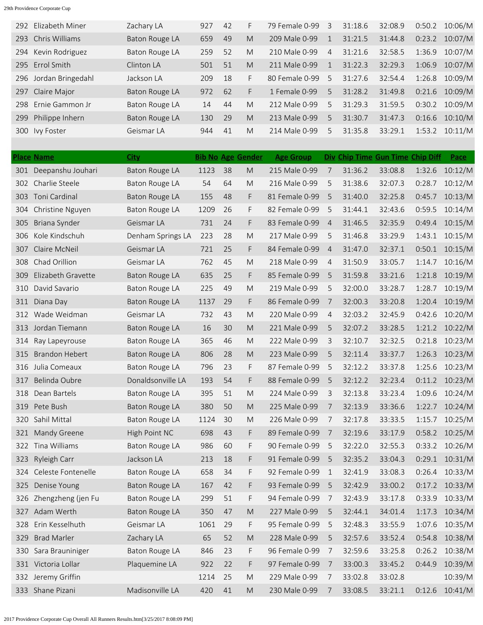|     | 292 Elizabeth Miner | Zachary LA     | 927 | 42 | F. | 79 Female 0-99 | 3 | 31:18.6 | 32:08.9 | 0:50.2 | 10:06/M |
|-----|---------------------|----------------|-----|----|----|----------------|---|---------|---------|--------|---------|
| 293 | Chris Williams      | Baton Rouge LA | 659 | 49 | M  | 209 Male 0-99  |   | 31:21.5 | 31:44.8 | 0:23.2 | 10:07/M |
|     | 294 Kevin Rodriguez | Baton Rouge LA | 259 | 52 | M  | 210 Male 0-99  | 4 | 31:21.6 | 32:58.5 | 1:36.9 | 10:07/M |
|     | 295 Errol Smith     | Clinton LA     | 501 | 51 | M  | 211 Male 0-99  |   | 31:22.3 | 32:29.3 | 1:06.9 | 10:07/M |
| 296 | Jordan Bringedahl   | Jackson LA     | 209 | 18 | F  | 80 Female 0-99 | 5 | 31:27.6 | 32:54.4 | 1:26.8 | 10:09/M |
|     | 297 Claire Major    | Baton Rouge LA | 972 | 62 | F  | 1 Female 0-99  | 5 | 31:28.2 | 31:49.8 | 0:21.6 | 10:09/M |
| 298 | Ernie Gammon Jr     | Baton Rouge LA | 14  | 44 | M  | 212 Male 0-99  | 5 | 31:29.3 | 31:59.5 | 0:30.2 | 10:09/M |
| 299 | Philippe Inhern     | Baton Rouge LA | 130 | 29 | M  | 213 Male 0-99  | 5 | 31:30.7 | 31:47.3 | 0:16.6 | 10:10/M |
| 300 | Ivy Foster          | Geismar LA     | 944 | 41 | M  | 214 Male 0-99  | 5 | 31:35.8 | 33:29.1 | 1:53.2 | 10:11/M |
|     |                     |                |     |    |    |                |   |         |         |        |         |

|     | <b>Place Name</b>      | <b>City</b>           |      |    | <b>Bib No Age Gender</b> | <b>Age Group</b> |                |         | Div Chip Time Gun Time Chip Diff |        | Pace    |
|-----|------------------------|-----------------------|------|----|--------------------------|------------------|----------------|---------|----------------------------------|--------|---------|
|     | 301 Deepanshu Jouhari  | Baton Rouge LA        | 1123 | 38 | M                        | 215 Male 0-99    | 7              | 31:36.2 | 33:08.8                          | 1:32.6 | 10:12/M |
| 302 | Charlie Steele         | Baton Rouge LA        | 54   | 64 | M                        | 216 Male 0-99    | 5              | 31:38.6 | 32:07.3                          | 0:28.7 | 10:12/M |
| 303 | Toni Cardinal          | Baton Rouge LA        | 155  | 48 | F.                       | 81 Female 0-99   | 5              | 31:40.0 | 32:25.8                          | 0:45.7 | 10:13/M |
| 304 | Christine Nguyen       | Baton Rouge LA        | 1209 | 26 | F                        | 82 Female 0-99   | 5              | 31:44.1 | 32:43.6                          | 0:59.5 | 10:14/M |
| 305 | Briana Synder          | Geismar LA            | 731  | 24 | F.                       | 83 Female 0-99   | $\overline{4}$ | 31:46.5 | 32:35.9                          | 0:49.4 | 10:15/M |
| 306 | Kole Kindschuh         | Denham Springs LA     | 223  | 28 | M                        | 217 Male 0-99    | 5              | 31:46.8 | 33:29.9                          | 1:43.1 | 10:15/M |
| 307 | Claire McNeil          | Geismar LA            | 721  | 25 | F                        | 84 Female 0-99   | $\overline{4}$ | 31:47.0 | 32:37.1                          | 0:50.1 | 10:15/M |
| 308 | Chad Orillion          | Geismar LA            | 762  | 45 | M                        | 218 Male 0-99    | 4              | 31:50.9 | 33:05.7                          | 1:14.7 | 10:16/M |
| 309 | Elizabeth Gravette     | Baton Rouge LA        | 635  | 25 | F.                       | 85 Female 0-99   | 5              | 31:59.8 | 33:21.6                          | 1:21.8 | 10:19/M |
| 310 | David Savario          | Baton Rouge LA        | 225  | 49 | M                        | 219 Male 0-99    | 5              | 32:00.0 | 33:28.7                          | 1:28.7 | 10:19/M |
| 311 | Diana Day              | Baton Rouge LA        | 1137 | 29 | F.                       | 86 Female 0-99   | 7              | 32:00.3 | 33:20.8                          | 1:20.4 | 10:19/M |
| 312 | Wade Weidman           | Geismar LA            | 732  | 43 | M                        | 220 Male 0-99    | 4              | 32:03.2 | 32:45.9                          | 0:42.6 | 10:20/M |
| 313 | Jordan Tiemann         | Baton Rouge LA        | 16   | 30 | M                        | 221 Male 0-99    | 5              | 32:07.2 | 33:28.5                          | 1:21.2 | 10:22/M |
| 314 | Ray Lapeyrouse         | Baton Rouge LA        | 365  | 46 | M                        | 222 Male 0-99    | 3              | 32:10.7 | 32:32.5                          | 0:21.8 | 10:23/M |
| 315 | <b>Brandon Hebert</b>  | Baton Rouge LA        | 806  | 28 | M                        | 223 Male 0-99    | 5              | 32:11.4 | 33:37.7                          | 1:26.3 | 10:23/M |
| 316 | Julia Comeaux          | Baton Rouge LA        | 796  | 23 | F                        | 87 Female 0-99   | 5              | 32:12.2 | 33:37.8                          | 1:25.6 | 10:23/M |
| 317 | Belinda Oubre          | Donaldsonville LA     | 193  | 54 | F.                       | 88 Female 0-99   | 5              | 32:12.2 | 32:23.4                          | 0:11.2 | 10:23/M |
| 318 | Dean Bartels           | Baton Rouge LA        | 395  | 51 | M                        | 224 Male 0-99    | 3              | 32:13.8 | 33:23.4                          | 1:09.6 | 10:24/M |
| 319 | Pete Bush              | Baton Rouge LA        | 380  | 50 | M                        | 225 Male 0-99    | 7              | 32:13.9 | 33:36.6                          | 1:22.7 | 10:24/M |
| 320 | Sahil Mittal           | Baton Rouge LA        | 1124 | 30 | M                        | 226 Male 0-99    | 7              | 32:17.8 | 33:33.5                          | 1:15.7 | 10:25/M |
| 321 | Mandy Greene           | High Point NC         | 698  | 43 | F                        | 89 Female 0-99   | 7              | 32:19.6 | 33:17.9                          | 0:58.2 | 10:25/M |
| 322 | Tina Williams          | Baton Rouge LA        | 986  | 60 | F                        | 90 Female 0-99   | 5              | 32:22.0 | 32:55.3                          | 0:33.2 | 10:26/M |
| 323 | Ryleigh Carr           | Jackson LA            | 213  | 18 | F.                       | 91 Female 0-99   | 5              | 32:35.2 | 33:04.3                          | 0:29.1 | 10:31/M |
| 324 | Celeste Fontenelle     | Baton Rouge LA        | 658  | 34 | F                        | 92 Female 0-99   | 1              | 32:41.9 | 33:08.3                          | 0:26.4 | 10:33/M |
| 325 | Denise Young           | Baton Rouge LA        | 167  | 42 | F                        | 93 Female 0-99   | 5              | 32:42.9 | 33:00.2                          | 0:17.2 | 10:33/M |
|     | 326 Zhengzheng (jen Fu | Baton Rouge LA        | 299  | 51 | F                        | 94 Female 0-99   | 7              | 32:43.9 | 33:17.8                          | 0:33.9 | 10:33/M |
| 327 | Adam Werth             | <b>Baton Rouge LA</b> | 350  | 47 | ${\sf M}$                | 227 Male 0-99    | 5              | 32:44.1 | 34:01.4                          | 1:17.3 | 10:34/M |
| 328 | Erin Kesselhuth        | Geismar LA            | 1061 | 29 | F                        | 95 Female 0-99   | 5              | 32:48.3 | 33:55.9                          | 1:07.6 | 10:35/M |
| 329 | <b>Brad Marler</b>     | Zachary LA            | 65   | 52 | ${\sf M}$                | 228 Male 0-99    | 5              | 32:57.6 | 33:52.4                          | 0:54.8 | 10:38/M |
| 330 | Sara Brauniniger       | Baton Rouge LA        | 846  | 23 | F                        | 96 Female 0-99   | 7              | 32:59.6 | 33:25.8                          | 0:26.2 | 10:38/M |
|     | 331 Victoria Lollar    | Plaquemine LA         | 922  | 22 | F                        | 97 Female 0-99   | 7              | 33:00.3 | 33:45.2                          | 0:44.9 | 10:39/M |
|     | 332 Jeremy Griffin     |                       | 1214 | 25 | ${\sf M}$                | 229 Male 0-99    | 7              | 33:02.8 | 33:02.8                          |        | 10:39/M |
|     | 333 Shane Pizani       | Madisonville LA       | 420  | 41 | M                        | 230 Male 0-99    | 7              | 33:08.5 | 33:21.1                          | 0:12.6 | 10:41/M |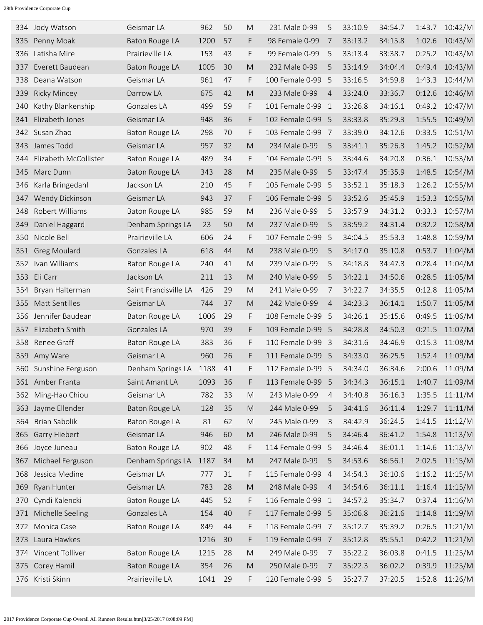| 334 | Jody Watson           | Geismar LA            | 962  | 50 | M                                                                                                          | 231 Male 0-99     | 5              | 33:10.9 | 34:54.7 | 1:43.7 | 10:42/M |
|-----|-----------------------|-----------------------|------|----|------------------------------------------------------------------------------------------------------------|-------------------|----------------|---------|---------|--------|---------|
| 335 | Penny Moak            | <b>Baton Rouge LA</b> | 1200 | 57 | F.                                                                                                         | 98 Female 0-99    | 7              | 33:13.2 | 34:15.8 | 1:02.6 | 10:43/M |
| 336 | Latisha Mire          | Prairieville LA       | 153  | 43 | F                                                                                                          | 99 Female 0-99    | 5              | 33:13.4 | 33:38.7 | 0:25.2 | 10:43/M |
| 337 | Everett Baudean       | Baton Rouge LA        | 1005 | 30 | M                                                                                                          | 232 Male 0-99     | 5              | 33:14.9 | 34:04.4 | 0:49.4 | 10:43/M |
| 338 | Deana Watson          | Geismar LA            | 961  | 47 | F                                                                                                          | 100 Female 0-99   | -5             | 33:16.5 | 34:59.8 | 1:43.3 | 10:44/M |
| 339 | <b>Ricky Mincey</b>   | Darrow LA             | 675  | 42 | M                                                                                                          | 233 Male 0-99     | $\overline{4}$ | 33:24.0 | 33:36.7 | 0:12.6 | 10:46/M |
| 340 | Kathy Blankenship     | Gonzales LA           | 499  | 59 | F                                                                                                          | 101 Female 0-99   | -1             | 33:26.8 | 34:16.1 | 0:49.2 | 10:47/M |
| 341 | Elizabeth Jones       | Geismar LA            | 948  | 36 | F                                                                                                          | 102 Female 0-99   | - 5            | 33:33.8 | 35:29.3 | 1:55.5 | 10:49/M |
|     | 342 Susan Zhao        | Baton Rouge LA        | 298  | 70 | F                                                                                                          | 103 Female 0-99   | $\overline{7}$ | 33:39.0 | 34:12.6 | 0:33.5 | 10:51/M |
| 343 | James Todd            | Geismar LA            | 957  | 32 | M                                                                                                          | 234 Male 0-99     | 5              | 33:41.1 | 35:26.3 | 1:45.2 | 10:52/M |
| 344 | Elizabeth McCollister | Baton Rouge LA        | 489  | 34 | F                                                                                                          | 104 Female 0-99   | -5             | 33:44.6 | 34:20.8 | 0:36.1 | 10:53/M |
| 345 | Marc Dunn             | Baton Rouge LA        | 343  | 28 | M                                                                                                          | 235 Male 0-99     | 5              | 33:47.4 | 35:35.9 | 1:48.5 | 10:54/M |
| 346 | Karla Bringedahl      | Jackson LA            | 210  | 45 | F                                                                                                          | 105 Female 0-99   | -5             | 33:52.1 | 35:18.3 | 1:26.2 | 10:55/M |
| 347 | Wendy Dickinson       | Geismar LA            | 943  | 37 | F                                                                                                          | 106 Female 0-99 5 |                | 33:52.6 | 35:45.9 | 1:53.3 | 10:55/M |
| 348 | Robert Williams       | Baton Rouge LA        | 985  | 59 | M                                                                                                          | 236 Male 0-99     | 5              | 33:57.9 | 34:31.2 | 0:33.3 | 10:57/M |
| 349 | Daniel Haggard        | Denham Springs LA     | 23   | 50 | M                                                                                                          | 237 Male 0-99     | 5              | 33:59.2 | 34:31.4 | 0:32.2 | 10:58/M |
| 350 | Nicole Bell           | Prairieville LA       | 606  | 24 | F                                                                                                          | 107 Female 0-99   | 5              | 34:04.5 | 35:53.3 | 1:48.8 | 10:59/M |
| 351 | <b>Greg Moulard</b>   | Gonzales LA           | 618  | 44 | M                                                                                                          | 238 Male 0-99     | 5              | 34:17.0 | 35:10.8 | 0:53.7 | 11:04/M |
| 352 | Ivan Williams         | Baton Rouge LA        | 240  | 41 | M                                                                                                          | 239 Male 0-99     | 5              | 34:18.8 | 34:47.3 | 0:28.4 | 11:04/M |
| 353 | Eli Carr              | Jackson LA            | 211  | 13 | M                                                                                                          | 240 Male 0-99     | 5              | 34:22.1 | 34:50.6 | 0:28.5 | 11:05/M |
| 354 | Bryan Halterman       | Saint Francisville LA | 426  | 29 | M                                                                                                          | 241 Male 0-99     | 7              | 34:22.7 | 34:35.5 | 0:12.8 | 11:05/M |
| 355 | Matt Sentilles        | Geismar LA            | 744  | 37 | M                                                                                                          | 242 Male 0-99     | $\overline{4}$ | 34:23.3 | 36:14.1 | 1:50.7 | 11:05/M |
| 356 | Jennifer Baudean      | Baton Rouge LA        | 1006 | 29 | F                                                                                                          | 108 Female 0-99   | - 5            | 34:26.1 | 35:15.6 | 0:49.5 | 11:06/M |
| 357 | Elizabeth Smith       | Gonzales LA           | 970  | 39 | F                                                                                                          | 109 Female 0-99   | - 5            | 34:28.8 | 34:50.3 | 0:21.5 | 11:07/M |
| 358 | Renee Graff           | Baton Rouge LA        | 383  | 36 | F                                                                                                          | 110 Female 0-99   | - 3            | 34:31.6 | 34:46.9 | 0:15.3 | 11:08/M |
| 359 | Amy Ware              | Geismar LA            | 960  | 26 | F                                                                                                          | 111 Female 0-99   | - 5            | 34:33.0 | 36:25.5 | 1:52.4 | 11:09/M |
|     | 360 Sunshine Ferguson | Denham Springs LA     | 1188 | 41 | F                                                                                                          | 112 Female 0-99 5 |                | 34:34.0 | 36:34.6 | 2:00.6 | 11:09/M |
|     | 361 Amber Franta      | Saint Amant LA        | 1093 | 36 | F                                                                                                          | 113 Female 0-99   | -5             | 34:34.3 | 36:15.1 | 1:40.7 | 11:09/M |
| 362 | Ming-Hao Chiou        | Geismar LA            | 782  | 33 | ${\sf M}$                                                                                                  | 243 Male 0-99     | 4              | 34:40.8 | 36:16.3 | 1:35.5 | 11:11/M |
| 363 | Jayme Ellender        | <b>Baton Rouge LA</b> | 128  | 35 | $\mathsf{M}% _{T}=\mathsf{M}_{T}\!\left( a,b\right) ,\ \mathsf{M}_{T}=\mathsf{M}_{T}\!\left( a,b\right) ,$ | 244 Male 0-99     | 5              | 34:41.6 | 36:11.4 | 1:29.7 | 11:11/M |
| 364 | <b>Brian Sabolik</b>  | Baton Rouge LA        | 81   | 62 | ${\sf M}$                                                                                                  | 245 Male 0-99     | 3              | 34:42.9 | 36:24.5 | 1:41.5 | 11:12/M |
| 365 | Garry Hiebert         | Geismar LA            | 946  | 60 | $\mathsf{M}% _{T}=\mathsf{M}_{T}\!\left( a,b\right) ,\ \mathsf{M}_{T}=\mathsf{M}_{T}\!\left( a,b\right) ,$ | 246 Male 0-99     | 5              | 34:46.4 | 36:41.2 | 1:54.8 | 11:13/M |
| 366 | Joyce Juneau          | Baton Rouge LA        | 902  | 48 | F                                                                                                          | 114 Female 0-99   | - 5            | 34:46.4 | 36:01.1 | 1:14.6 | 11:13/M |
| 367 | Michael Ferguson      | Denham Springs LA     | 1187 | 34 | ${\sf M}$                                                                                                  | 247 Male 0-99     | 5              | 34:53.6 | 36:56.1 | 2:02.5 | 11:15/M |
| 368 | Jessica Medine        | Geismar LA            | 777  | 31 | F                                                                                                          | 115 Female 0-99   | $\overline{4}$ | 34:54.3 | 36:10.6 | 1:16.2 | 11:15/M |
| 369 | Ryan Hunter           | Geismar LA            | 783  | 28 | $\mathsf{M}% _{T}=\mathsf{M}_{T}\!\left( a,b\right) ,\ \mathsf{M}_{T}=\mathsf{M}_{T}\!\left( a,b\right) ,$ | 248 Male 0-99     | $\overline{4}$ | 34:54.6 | 36:11.1 | 1:16.4 | 11:15/M |
| 370 | Cyndi Kalencki        | Baton Rouge LA        | 445  | 52 | F                                                                                                          | 116 Female 0-99   | $\mathbf{1}$   | 34:57.2 | 35:34.7 | 0:37.4 | 11:16/M |
| 371 | Michelle Seeling      | Gonzales LA           | 154  | 40 | F                                                                                                          | 117 Female 0-99 5 |                | 35:06.8 | 36:21.6 | 1:14.8 | 11:19/M |
| 372 | Monica Case           | Baton Rouge LA        | 849  | 44 | F                                                                                                          | 118 Female 0-99 7 |                | 35:12.7 | 35:39.2 | 0:26.5 | 11:21/M |
| 373 | Laura Hawkes          |                       | 1216 | 30 | F                                                                                                          | 119 Female 0-99 7 |                | 35:12.8 | 35:55.1 | 0:42.2 | 11:21/M |
|     | 374 Vincent Tolliver  | Baton Rouge LA        | 1215 | 28 | M                                                                                                          | 249 Male 0-99     | 7              | 35:22.2 | 36:03.8 | 0:41.5 | 11:25/M |
| 375 | Corey Hamil           | Baton Rouge LA        | 354  | 26 | $\mathsf{M}% _{T}=\mathsf{M}_{T}\!\left( a,b\right) ,\ \mathsf{M}_{T}=\mathsf{M}_{T}\!\left( a,b\right) ,$ | 250 Male 0-99     | 7              | 35:22.3 | 36:02.2 | 0:39.9 | 11:25/M |
| 376 | Kristi Skinn          | Prairieville LA       | 1041 | 29 | F                                                                                                          | 120 Female 0-99 5 |                | 35:27.7 | 37:20.5 | 1:52.8 | 11:26/M |
|     |                       |                       |      |    |                                                                                                            |                   |                |         |         |        |         |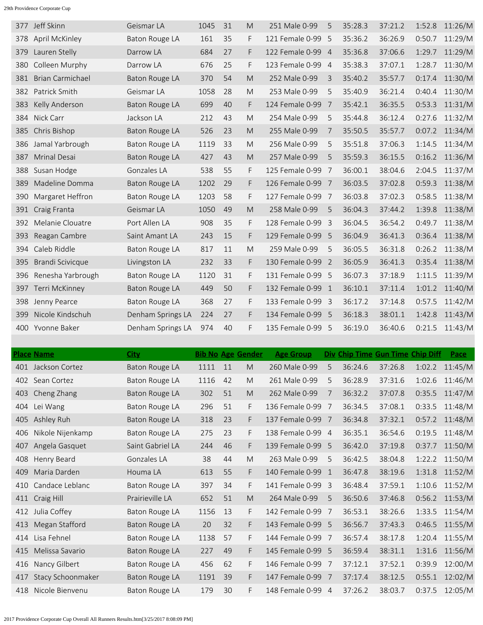| 377 | Jeff Skinn              | Geismar LA        | 1045 | 31 | M  | 251 Male 0-99     | 5              | 35:28.3 | 37:21.2 | 1:52.8 | 11:26/M |
|-----|-------------------------|-------------------|------|----|----|-------------------|----------------|---------|---------|--------|---------|
| 378 | April McKinley          | Baton Rouge LA    | 161  | 35 | F  | 121 Female 0-99   | 5              | 35:36.2 | 36:26.9 | 0:50.7 | 11:29/M |
| 379 | Lauren Stelly           | Darrow LA         | 684  | 27 | F  | 122 Female 0-99   | $\overline{4}$ | 35:36.8 | 37:06.6 | 1:29.7 | 11:29/M |
| 380 | Colleen Murphy          | Darrow LA         | 676  | 25 | F  | 123 Female 0-99   | $\overline{4}$ | 35:38.3 | 37:07.1 | 1:28.7 | 11:30/M |
| 381 | <b>Brian Carmichael</b> | Baton Rouge LA    | 370  | 54 | M  | 252 Male 0-99     | 3              | 35:40.2 | 35:57.7 | 0:17.4 | 11:30/M |
| 382 | Patrick Smith           | Geismar LA        | 1058 | 28 | M  | 253 Male 0-99     | 5              | 35:40.9 | 36:21.4 | 0:40.4 | 11:30/M |
| 383 | Kelly Anderson          | Baton Rouge LA    | 699  | 40 | F  | 124 Female 0-99   | 7              | 35:42.1 | 36:35.5 | 0:53.3 | 11:31/M |
| 384 | Nick Carr               | Jackson LA        | 212  | 43 | M  | 254 Male 0-99     | 5              | 35:44.8 | 36:12.4 | 0:27.6 | 11:32/M |
| 385 | Chris Bishop            | Baton Rouge LA    | 526  | 23 | M  | 255 Male 0-99     | 7              | 35:50.5 | 35:57.7 | 0:07.2 | 11:34/M |
| 386 | Jamal Yarbrough         | Baton Rouge LA    | 1119 | 33 | M  | 256 Male 0-99     | 5              | 35:51.8 | 37:06.3 | 1:14.5 | 11:34/M |
| 387 | Mrinal Desai            | Baton Rouge LA    | 427  | 43 | M  | 257 Male 0-99     | 5              | 35:59.3 | 36:15.5 | 0:16.2 | 11:36/M |
| 388 | Susan Hodge             | Gonzales LA       | 538  | 55 | F  | 125 Female 0-99   | 7              | 36:00.1 | 38:04.6 | 2:04.5 | 11:37/M |
| 389 | Madeline Domma          | Baton Rouge LA    | 1202 | 29 | F. | 126 Female 0-99   | - 7            | 36:03.5 | 37:02.8 | 0:59.3 | 11:38/M |
| 390 | Margaret Heffron        | Baton Rouge LA    | 1203 | 58 | F  | 127 Female 0-99   | 7              | 36:03.8 | 37:02.3 | 0:58.5 | 11:38/M |
| 391 | Craig Franta            | Geismar LA        | 1050 | 49 | M  | 258 Male 0-99     | 5              | 36:04.3 | 37:44.2 | 1:39.8 | 11:38/M |
| 392 | Melanie Clouatre        | Port Allen LA     | 908  | 35 | F  | 128 Female 0-99   | $\overline{3}$ | 36:04.5 | 36:54.2 | 0:49.7 | 11:38/M |
| 393 | Reagan Cambre           | Saint Amant LA    | 243  | 15 | F  | 129 Female 0-99   | - 5            | 36:04.9 | 36:41.3 | 0:36.4 | 11:38/M |
| 394 | Caleb Riddle            | Baton Rouge LA    | 817  | 11 | M  | 259 Male 0-99     | 5              | 36:05.5 | 36:31.8 | 0:26.2 | 11:38/M |
| 395 | Brandi Scivicque        | Livingston LA     | 232  | 33 | F. | 130 Female 0-99   | $\overline{2}$ | 36:05.9 | 36:41.3 | 0:35.4 | 11:38/M |
| 396 | Renesha Yarbrough       | Baton Rouge LA    | 1120 | 31 | F  | 131 Female 0-99   | - 5            | 36:07.3 | 37:18.9 | 1:11.5 | 11:39/M |
| 397 | Terri McKinney          | Baton Rouge LA    | 449  | 50 | F. | 132 Female 0-99   | $\sqrt{1}$     | 36:10.1 | 37:11.4 | 1:01.2 | 11:40/M |
| 398 | Jenny Pearce            | Baton Rouge LA    | 368  | 27 | F. | 133 Female 0-99   | - 3            | 36:17.2 | 37:14.8 | 0:57.5 | 11:42/M |
| 399 | Nicole Kindschuh        | Denham Springs LA | 224  | 27 | F. | 134 Female 0-99 5 |                | 36:18.3 | 38:01.1 | 1:42.8 | 11:43/M |
| 400 | Yvonne Baker            | Denham Springs LA | 974  | 40 | F  | 135 Female 0-99 5 |                | 36:19.0 | 36:40.6 | 0:21.5 | 11:43/M |
|     |                         |                   |      |    |    |                   |                |         |         |        |         |

|     | <b>Place Name</b>  | <b>City</b>           |      |    | <b>Bib No Age Gender</b> | <b>Age Group</b>  |                | Div Chip Time Gun Time Chip Diff |         |        | Pace           |
|-----|--------------------|-----------------------|------|----|--------------------------|-------------------|----------------|----------------------------------|---------|--------|----------------|
|     | 401 Jackson Cortez | Baton Rouge LA        | 1111 | 11 | M                        | 260 Male 0-99     | 5              | 36:24.6                          | 37:26.8 |        | 1:02.2 11:45/M |
|     | 402 Sean Cortez    | Baton Rouge LA        | 1116 | 42 | M                        | 261 Male 0-99     | 5              | 36:28.9                          | 37:31.6 | 1:02.6 | 11:46/M        |
| 403 | Cheng Zhang        | Baton Rouge LA        | 302  | 51 | M                        | 262 Male 0-99     | 7              | 36:32.2                          | 37:07.8 | 0:35.5 | 11:47/M        |
| 404 | Lei Wang           | <b>Baton Rouge LA</b> | 296  | 51 | F                        | 136 Female 0-99   | - 7            | 36:34.5                          | 37:08.1 | 0:33.5 | 11:48/M        |
| 405 | Ashley Ruh         | <b>Baton Rouge LA</b> | 318  | 23 | F.                       | 137 Female 0-99 7 |                | 36:34.8                          | 37:32.1 | 0:57.2 | 11:48/M        |
| 406 | Nikole Nijenkamp   | <b>Baton Rouge LA</b> | 275  | 23 | F                        | 138 Female 0-99 4 |                | 36:35.1                          | 36:54.6 | 0:19.5 | 11:48/M        |
| 407 | Angela Gasquet     | Saint Gabriel LA      | 244  | 46 | F.                       | 139 Female 0-99 5 |                | 36:42.0                          | 37:19.8 | 0:37.7 | 11:50/M        |
| 408 | Henry Beard        | Gonzales LA           | 38   | 44 | M                        | 263 Male 0-99     | 5              | 36:42.5                          | 38:04.8 | 1:22.2 | 11:50/M        |
| 409 | Maria Darden       | Houma LA              | 613  | 55 | F.                       | 140 Female 0-99   | $\overline{1}$ | 36:47.8                          | 38:19.6 | 1:31.8 | 11:52/M        |
| 410 | Candace Leblanc    | Baton Rouge LA        | 397  | 34 | F.                       | 141 Female 0-99   | - 3            | 36:48.4                          | 37:59.1 | 1:10.6 | 11:52/M        |
|     | 411 Craig Hill     | Prairieville LA       | 652  | 51 | M                        | 264 Male 0-99     | 5              | 36:50.6                          | 37:46.8 | 0:56.2 | 11:53/M        |
|     | 412 Julia Coffey   | Baton Rouge LA        | 1156 | 13 | F.                       | 142 Female 0-99   | 7              | 36:53.1                          | 38:26.6 | 1:33.5 | 11:54/M        |
| 413 | Megan Stafford     | Baton Rouge LA        | 20   | 32 | F.                       | 143 Female 0-99 5 |                | 36:56.7                          | 37:43.3 | 0:46.5 | 11:55/M        |
| 414 | Lisa Fehnel        | Baton Rouge LA        | 1138 | 57 | F.                       | 144 Female 0-99 7 |                | 36:57.4                          | 38:17.8 | 1:20.4 | 11:55/M        |
| 415 | Melissa Savario    | Baton Rouge LA        | 227  | 49 | F.                       | 145 Female 0-99 5 |                | 36:59.4                          | 38:31.1 | 1:31.6 | 11:56/M        |
| 416 | Nancy Gilbert      | Baton Rouge LA        | 456  | 62 | F.                       | 146 Female 0-99 7 |                | 37:12.1                          | 37:52.1 | 0:39.9 | 12:00/M        |
| 417 | Stacy Schoonmaker  | Baton Rouge LA        | 1191 | 39 | F.                       | 147 Female 0-99 7 |                | 37:17.4                          | 38:12.5 | 0:55.1 | 12:02/M        |
| 418 | Nicole Bienvenu    | Baton Rouge LA        | 179  | 30 | F.                       | 148 Female 0-99 4 |                | 37:26.2                          | 38:03.7 | 0:37.5 | 12:05/M        |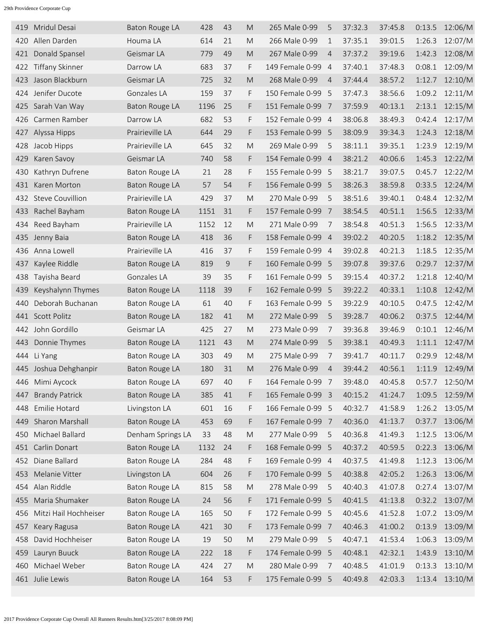| 419 | Mridul Desai            | Baton Rouge LA        | 428  | 43 | M                                                                                                          | 265 Male 0-99     | 5              | 37:32.3 | 37:45.8 | 0:13.5 | 12:06/M |
|-----|-------------------------|-----------------------|------|----|------------------------------------------------------------------------------------------------------------|-------------------|----------------|---------|---------|--------|---------|
| 420 | Allen Darden            | Houma LA              | 614  | 21 | M                                                                                                          | 266 Male 0-99     | $\mathbf 1$    | 37:35.1 | 39:01.5 | 1:26.3 | 12:07/M |
| 421 | Donald Spansel          | Geismar LA            | 779  | 49 | M                                                                                                          | 267 Male 0-99     | $\overline{4}$ | 37:37.2 | 39:19.6 | 1:42.3 | 12:08/M |
| 422 | <b>Tiffany Skinner</b>  | Darrow LA             | 683  | 37 | F                                                                                                          | 149 Female 0-99   | $\overline{4}$ | 37:40.1 | 37:48.3 | 0:08.1 | 12:09/M |
| 423 | Jason Blackburn         | Geismar LA            | 725  | 32 | M                                                                                                          | 268 Male 0-99     | $\overline{4}$ | 37:44.4 | 38:57.2 | 1:12.7 | 12:10/M |
| 424 | Jenifer Ducote          | Gonzales LA           | 159  | 37 | F                                                                                                          | 150 Female 0-99   | -5             | 37:47.3 | 38:56.6 | 1:09.2 | 12:11/M |
| 425 | Sarah Van Way           | Baton Rouge LA        | 1196 | 25 | F                                                                                                          | 151 Female 0-99 7 |                | 37:59.9 | 40:13.1 | 2:13.1 | 12:15/M |
| 426 | Carmen Ramber           | Darrow LA             | 682  | 53 | F                                                                                                          | 152 Female 0-99 4 |                | 38:06.8 | 38:49.3 | 0:42.4 | 12:17/M |
| 427 | Alyssa Hipps            | Prairieville LA       | 644  | 29 | F                                                                                                          | 153 Female 0-99   | - 5            | 38:09.9 | 39:34.3 | 1:24.3 | 12:18/M |
| 428 | Jacob Hipps             | Prairieville LA       | 645  | 32 | M                                                                                                          | 269 Male 0-99     | 5              | 38:11.1 | 39:35.1 | 1:23.9 | 12:19/M |
| 429 | Karen Savoy             | Geismar LA            | 740  | 58 | F                                                                                                          | 154 Female 0-99 4 |                | 38:21.2 | 40:06.6 | 1:45.3 | 12:22/M |
| 430 | Kathryn Dufrene         | <b>Baton Rouge LA</b> | 21   | 28 | F                                                                                                          | 155 Female 0-99 5 |                | 38:21.7 | 39:07.5 | 0:45.7 | 12:22/M |
| 431 | Karen Morton            | Baton Rouge LA        | 57   | 54 | F                                                                                                          | 156 Female 0-99   | -5             | 38:26.3 | 38:59.8 | 0:33.5 | 12:24/M |
| 432 | <b>Steve Couvillion</b> | Prairieville LA       | 429  | 37 | M                                                                                                          | 270 Male 0-99     | 5              | 38:51.6 | 39:40.1 | 0:48.4 | 12:32/M |
| 433 | Rachel Bayham           | Baton Rouge LA        | 1151 | 31 | F                                                                                                          | 157 Female 0-99   | - 7            | 38:54.5 | 40:51.1 | 1:56.5 | 12:33/M |
| 434 | Reed Bayham             | Prairieville LA       | 1152 | 12 | M                                                                                                          | 271 Male 0-99     | 7              | 38:54.8 | 40:51.3 | 1:56.5 | 12:33/M |
| 435 | Jenny Baia              | Baton Rouge LA        | 418  | 36 | F.                                                                                                         | 158 Female 0-99 4 |                | 39:02.2 | 40:20.5 | 1:18.2 | 12:35/M |
| 436 | Anna Lowell             | Prairieville LA       | 416  | 37 | F                                                                                                          | 159 Female 0-99 4 |                | 39:02.8 | 40:21.3 | 1:18.5 | 12:35/M |
| 437 | Kaylee Riddle           | Baton Rouge LA        | 819  | 9  | F                                                                                                          | 160 Female 0-99   | - 5            | 39:07.8 | 39:37.6 | 0:29.7 | 12:37/M |
| 438 | Tayisha Beard           | Gonzales LA           | 39   | 35 | F                                                                                                          | 161 Female 0-99 5 |                | 39:15.4 | 40:37.2 | 1:21.8 | 12:40/M |
| 439 | Keyshalynn Thymes       | Baton Rouge LA        | 1118 | 39 | F.                                                                                                         | 162 Female 0-99   | - 5            | 39:22.2 | 40:33.1 | 1:10.8 | 12:42/M |
| 440 | Deborah Buchanan        | Baton Rouge LA        | 61   | 40 | F                                                                                                          | 163 Female 0-99   | -5             | 39:22.9 | 40:10.5 | 0:47.5 | 12:42/M |
|     | 441 Scott Politz        | Baton Rouge LA        | 182  | 41 | M                                                                                                          | 272 Male 0-99     | 5              | 39:28.7 | 40:06.2 | 0:37.5 | 12:44/M |
| 442 | John Gordillo           | Geismar LA            | 425  | 27 | M                                                                                                          | 273 Male 0-99     | 7              | 39:36.8 | 39:46.9 | 0:10.1 | 12:46/M |
| 443 | Donnie Thymes           | Baton Rouge LA        | 1121 | 43 | M                                                                                                          | 274 Male 0-99     | 5              | 39:38.1 | 40:49.3 | 1:11.1 | 12:47/M |
| 444 | Li Yang                 | Baton Rouge LA        | 303  | 49 | M                                                                                                          | 275 Male 0-99     | 7              | 39:41.7 | 40:11.7 | 0:29.9 | 12:48/M |
|     | 445 Joshua Dehghanpir   | <b>Baton Rouge LA</b> | 180  | 31 | M                                                                                                          | 276 Male 0-99     | $\overline{4}$ | 39:44.2 | 40:56.1 | 1:11.9 | 12:49/M |
| 446 | Mimi Aycock             | Baton Rouge LA        | 697  | 40 | F                                                                                                          | 164 Female 0-99 7 |                | 39:48.0 | 40:45.8 | 0:57.7 | 12:50/M |
| 447 | <b>Brandy Patrick</b>   | <b>Baton Rouge LA</b> | 385  | 41 | F                                                                                                          | 165 Female 0-99 3 |                | 40:15.2 | 41:24.7 | 1:09.5 | 12:59/M |
| 448 | Emilie Hotard           | Livingston LA         | 601  | 16 | F.                                                                                                         | 166 Female 0-99 5 |                | 40:32.7 | 41:58.9 | 1:26.2 | 13:05/M |
| 449 | Sharon Marshall         | <b>Baton Rouge LA</b> | 453  | 69 | F                                                                                                          | 167 Female 0-99   | - 7            | 40:36.0 | 41:13.7 | 0:37.7 | 13:06/M |
| 450 | Michael Ballard         | Denham Springs LA     | 33   | 48 | $\mathsf{M}% _{T}=\mathsf{M}_{T}\!\left( a,b\right) ,\ \mathsf{M}_{T}=\mathsf{M}_{T}\!\left( a,b\right) ,$ | 277 Male 0-99     | 5              | 40:36.8 | 41:49.3 | 1:12.5 | 13:06/M |
|     | 451 Carlin Donart       | Baton Rouge LA        | 1132 | 24 | F                                                                                                          | 168 Female 0-99   | 5              | 40:37.2 | 40:59.5 | 0:22.3 | 13:06/M |
| 452 | Diane Ballard           | <b>Baton Rouge LA</b> | 284  | 48 | F                                                                                                          | 169 Female 0-99 4 |                | 40:37.5 | 41:49.8 | 1:12.3 | 13:06/M |
| 453 | Melanie Vitter          | Livingston LA         | 604  | 26 | F                                                                                                          | 170 Female 0-99   | -5             | 40:38.8 | 42:05.2 | 1:26.3 | 13:06/M |
| 454 | Alan Riddle             | Baton Rouge LA        | 815  | 58 | $\mathsf{M}% _{T}=\mathsf{M}_{T}\!\left( a,b\right) ,\ \mathsf{M}_{T}=\mathsf{M}_{T}\!\left( a,b\right) ,$ | 278 Male 0-99     | 5              | 40:40.3 | 41:07.8 | 0:27.4 | 13:07/M |
| 455 | Maria Shumaker          | Baton Rouge LA        | 24   | 56 | F                                                                                                          | 171 Female 0-99   | -5             | 40:41.5 | 41:13.8 | 0:32.2 | 13:07/M |
| 456 | Mitzi Hail Hochheiser   | Baton Rouge LA        | 165  | 50 | F                                                                                                          | 172 Female 0-99 5 |                | 40:45.6 | 41:52.8 | 1:07.2 | 13:09/M |
| 457 | Keary Ragusa            | Baton Rouge LA        | 421  | 30 | F                                                                                                          | 173 Female 0-99   | - 7            | 40:46.3 | 41:00.2 | 0:13.9 | 13:09/M |
| 458 | David Hochheiser        | Baton Rouge LA        | 19   | 50 | $\mathsf{M}% _{T}=\mathsf{M}_{T}\!\left( a,b\right) ,\ \mathsf{M}_{T}=\mathsf{M}_{T}\!\left( a,b\right) ,$ | 279 Male 0-99     | 5              | 40:47.1 | 41:53.4 | 1:06.3 | 13:09/M |
| 459 | Lauryn Buuck            | Baton Rouge LA        | 222  | 18 | F                                                                                                          | 174 Female 0-99   | -5             | 40:48.1 | 42:32.1 | 1:43.9 | 13:10/M |
| 460 | Michael Weber           | Baton Rouge LA        | 424  | 27 | ${\sf M}$                                                                                                  | 280 Male 0-99     | 7              | 40:48.5 | 41:01.9 | 0:13.3 | 13:10/M |
|     | 461 Julie Lewis         | <b>Baton Rouge LA</b> | 164  | 53 | F                                                                                                          | 175 Female 0-99 5 |                | 40:49.8 | 42:03.3 | 1:13.4 | 13:10/M |
|     |                         |                       |      |    |                                                                                                            |                   |                |         |         |        |         |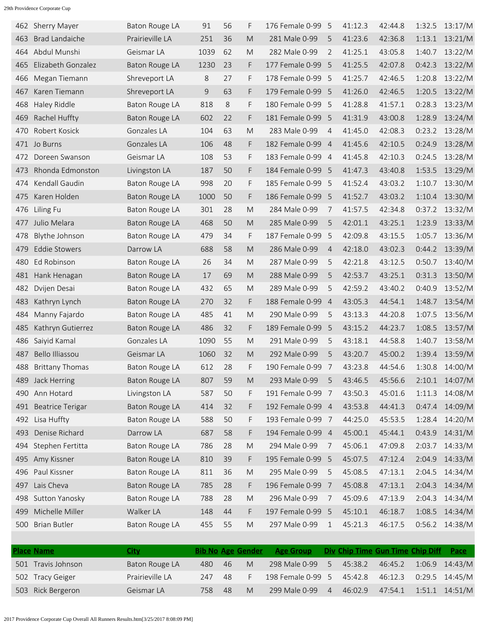|     | 462 Sherry Mayer        | Baton Rouge LA        | 91   | 56 | F                                                                                                          | 176 Female 0-99   | -5             | 41:12.3 | 42:44.8 | 1:32.5 | 13:17/M |
|-----|-------------------------|-----------------------|------|----|------------------------------------------------------------------------------------------------------------|-------------------|----------------|---------|---------|--------|---------|
| 463 | <b>Brad Landaiche</b>   | Prairieville LA       | 251  | 36 | M                                                                                                          | 281 Male 0-99     | 5              | 41:23.6 | 42:36.8 | 1:13.1 | 13:21/M |
| 464 | Abdul Munshi            | Geismar LA            | 1039 | 62 | M                                                                                                          | 282 Male 0-99     | $\overline{2}$ | 41:25.1 | 43:05.8 | 1:40.7 | 13:22/M |
| 465 | Elizabeth Gonzalez      | Baton Rouge LA        | 1230 | 23 | F                                                                                                          | 177 Female 0-99   | -5             | 41:25.5 | 42:07.8 | 0:42.3 | 13:22/M |
| 466 | Megan Tiemann           | Shreveport LA         | 8    | 27 | F                                                                                                          | 178 Female 0-99   | - 5            | 41:25.7 | 42:46.5 | 1:20.8 | 13:22/M |
| 467 | Karen Tiemann           | Shreveport LA         | 9    | 63 | F                                                                                                          | 179 Female 0-99   | -5             | 41:26.0 | 42:46.5 | 1:20.5 | 13:22/M |
| 468 | <b>Haley Riddle</b>     | Baton Rouge LA        | 818  | 8  | F                                                                                                          | 180 Female 0-99 5 |                | 41:28.8 | 41:57.1 | 0:28.3 | 13:23/M |
| 469 | Rachel Huffty           | Baton Rouge LA        | 602  | 22 | F                                                                                                          | 181 Female 0-99   | -5             | 41:31.9 | 43:00.8 | 1:28.9 | 13:24/M |
| 470 | Robert Kosick           | Gonzales LA           | 104  | 63 | M                                                                                                          | 283 Male 0-99     | 4              | 41:45.0 | 42:08.3 | 0:23.2 | 13:28/M |
| 471 | Jo Burns                | Gonzales LA           | 106  | 48 | F                                                                                                          | 182 Female 0-99   | $\overline{4}$ | 41:45.6 | 42:10.5 | 0:24.9 | 13:28/M |
| 472 | Doreen Swanson          | Geismar LA            | 108  | 53 | F                                                                                                          | 183 Female 0-99 4 |                | 41:45.8 | 42:10.3 | 0:24.5 | 13:28/M |
| 473 | Rhonda Edmonston        | Livingston LA         | 187  | 50 | F                                                                                                          | 184 Female 0-99   | -5             | 41:47.3 | 43:40.8 | 1:53.5 | 13:29/M |
| 474 | Kendall Gaudin          | Baton Rouge LA        | 998  | 20 | F                                                                                                          | 185 Female 0-99   | -5             | 41:52.4 | 43:03.2 | 1:10.7 | 13:30/M |
| 475 | Karen Holden            | Baton Rouge LA        | 1000 | 50 | F                                                                                                          | 186 Female 0-99   | - 5            | 41:52.7 | 43:03.2 | 1:10.4 | 13:30/M |
| 476 | Liling Fu               | Baton Rouge LA        | 301  | 28 | M                                                                                                          | 284 Male 0-99     | 7              | 41:57.5 | 42:34.8 | 0:37.2 | 13:32/M |
| 477 | Julio Melara            | Baton Rouge LA        | 468  | 50 | M                                                                                                          | 285 Male 0-99     | 5              | 42:01.1 | 43:25.1 | 1:23.9 | 13:33/M |
| 478 | Blythe Johnson          | Baton Rouge LA        | 479  | 34 | F                                                                                                          | 187 Female 0-99   | 5              | 42:09.8 | 43:15.5 | 1:05.7 | 13:36/M |
| 479 | <b>Eddie Stowers</b>    | Darrow LA             | 688  | 58 | M                                                                                                          | 286 Male 0-99     | $\overline{4}$ | 42:18.0 | 43:02.3 | 0:44.2 | 13:39/M |
| 480 | Ed Robinson             | <b>Baton Rouge LA</b> | 26   | 34 | M                                                                                                          | 287 Male 0-99     | 5              | 42:21.8 | 43:12.5 | 0:50.7 | 13:40/M |
| 481 | Hank Henagan            | <b>Baton Rouge LA</b> | 17   | 69 | M                                                                                                          | 288 Male 0-99     | 5              | 42:53.7 | 43:25.1 | 0:31.3 | 13:50/M |
| 482 | Dvijen Desai            | Baton Rouge LA        | 432  | 65 | M                                                                                                          | 289 Male 0-99     | 5              | 42:59.2 | 43:40.2 | 0:40.9 | 13:52/M |
| 483 | Kathryn Lynch           | Baton Rouge LA        | 270  | 32 | F                                                                                                          | 188 Female 0-99   | $\overline{4}$ | 43:05.3 | 44:54.1 | 1:48.7 | 13:54/M |
| 484 | Manny Fajardo           | Baton Rouge LA        | 485  | 41 | M                                                                                                          | 290 Male 0-99     | 5              | 43:13.3 | 44:20.8 | 1:07.5 | 13:56/M |
| 485 | Kathryn Gutierrez       | <b>Baton Rouge LA</b> | 486  | 32 | F                                                                                                          | 189 Female 0-99   | -5             | 43:15.2 | 44:23.7 | 1:08.5 | 13:57/M |
| 486 | Saiyid Kamal            | Gonzales LA           | 1090 | 55 | M                                                                                                          | 291 Male 0-99     | 5              | 43:18.1 | 44:58.8 | 1:40.7 | 13:58/M |
| 487 | Bello Illiassou         | Geismar LA            | 1060 | 32 | M                                                                                                          | 292 Male 0-99     | 5              | 43:20.7 | 45:00.2 | 1:39.4 | 13:59/M |
| 488 | <b>Brittany Thomas</b>  | Baton Rouge LA        | 612  | 28 | F                                                                                                          | 190 Female 0-99   | 7              | 43:23.8 | 44:54.6 | 1:30.8 | 14:00/M |
| 489 | Jack Herring            | <b>Baton Rouge LA</b> | 807  | 59 | $\mathsf{M}% _{T}=\mathsf{M}_{T}\!\left( a,b\right) ,\ \mathsf{M}_{T}=\mathsf{M}_{T}\!\left( a,b\right) ,$ | 293 Male 0-99     | 5              | 43:46.5 | 45:56.6 | 2:10.1 | 14:07/M |
| 490 | Ann Hotard              | Livingston LA         | 587  | 50 | F                                                                                                          | 191 Female 0-99 7 |                | 43:50.3 | 45:01.6 | 1:11.3 | 14:08/M |
| 491 | <b>Beatrice Terigar</b> | Baton Rouge LA        | 414  | 32 | F                                                                                                          | 192 Female 0-99 4 |                | 43:53.8 | 44:41.3 | 0:47.4 | 14:09/M |
| 492 | Lisa Huffty             | Baton Rouge LA        | 588  | 50 | F                                                                                                          | 193 Female 0-99   | 7              | 44:25.0 | 45:53.5 | 1:28.4 | 14:20/M |
| 493 | Denise Richard          | Darrow LA             | 687  | 58 | F                                                                                                          | 194 Female 0-99 4 |                | 45:00.1 | 45:44.1 | 0:43.9 | 14:31/M |
| 494 | Stephen Fertitta        | Baton Rouge LA        | 786  | 28 | $\mathsf{M}% _{T}=\mathsf{M}_{T}\!\left( a,b\right) ,\ \mathsf{M}_{T}=\mathsf{M}_{T}\!\left( a,b\right) ,$ | 294 Male 0-99     | 7              | 45:06.1 | 47:09.8 | 2:03.7 | 14:33/M |
| 495 | Amy Kissner             | Baton Rouge LA        | 810  | 39 | F                                                                                                          | 195 Female 0-99 5 |                | 45:07.5 | 47:12.4 | 2:04.9 | 14:33/M |
| 496 | Paul Kissner            | Baton Rouge LA        | 811  | 36 | $\mathsf{M}% _{T}=\mathsf{M}_{T}\!\left( a,b\right) ,\ \mathsf{M}_{T}=\mathsf{M}_{T}\!\left( a,b\right) ,$ | 295 Male 0-99     | 5              | 45:08.5 | 47:13.1 | 2:04.5 | 14:34/M |
| 497 | Lais Cheva              | <b>Baton Rouge LA</b> | 785  | 28 | F                                                                                                          | 196 Female 0-99   | $\overline{7}$ | 45:08.8 | 47:13.1 | 2:04.3 | 14:34/M |
| 498 | Sutton Yanosky          | Baton Rouge LA        | 788  | 28 | ${\sf M}$                                                                                                  | 296 Male 0-99     | 7              | 45:09.6 | 47:13.9 | 2:04.3 | 14:34/M |
| 499 | Michelle Miller         | Walker LA             | 148  | 44 | F                                                                                                          | 197 Female 0-99 5 |                | 45:10.1 | 46:18.7 | 1:08.5 | 14:34/M |
| 500 | <b>Brian Butler</b>     | Baton Rouge LA        | 455  | 55 | M                                                                                                          | 297 Male 0-99     | 1              | 45:21.3 | 46:17.5 | 0:56.2 | 14:38/M |
|     |                         |                       |      |    |                                                                                                            |                   |                |         |         |        |         |

| <b>Place Name</b>  | City            |      |    | <b>Bib No Age Gender</b> | <b>Age Group</b>  |    | Div Chip Time Gun Time Chip Diff |         | Pace               |
|--------------------|-----------------|------|----|--------------------------|-------------------|----|----------------------------------|---------|--------------------|
| 501 Travis Johnson | Baton Rouge LA  | 480  | 46 | M                        | 298 Male 0-99     | .5 | 45:38.2                          | 46:45.2 | $1:06.9$ $14:43/M$ |
| 502 Tracy Geiger   | Prairieville LA | 247. | 48 |                          | 198 Female 0-99 5 |    | 45:42.8                          | 46:12.3 | $0:29.5$ 14:45/M   |
| 503 Rick Bergeron  | Geismar LA      | 758. | 48 | M                        | 299 Male 0-99     | 4  | 46:02.9                          | 47:54.1 | $1:51.1$ $14:51/M$ |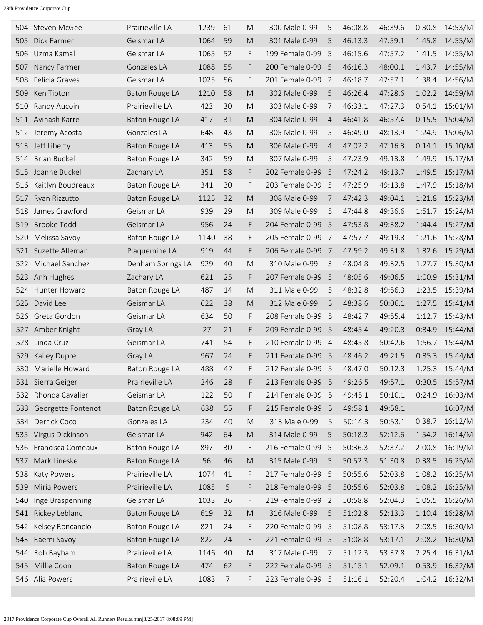|     | 504 Steven McGee      | Prairieville LA       | 1239 | 61 | M                                                                                                          | 300 Male 0-99     | 5              | 46:08.8 | 46:39.6 | 0:30.8 | 14:53/M        |
|-----|-----------------------|-----------------------|------|----|------------------------------------------------------------------------------------------------------------|-------------------|----------------|---------|---------|--------|----------------|
| 505 | Dick Farmer           | Geismar LA            | 1064 | 59 | M                                                                                                          | 301 Male 0-99     | 5              | 46:13.3 | 47:59.1 | 1:45.8 | 14:55/M        |
| 506 | Uzma Kamal            | Geismar LA            | 1065 | 52 | F                                                                                                          | 199 Female 0-99   | -5             | 46:15.6 | 47:57.2 | 1:41.5 | 14:55/M        |
| 507 | Nancy Farmer          | Gonzales LA           | 1088 | 55 | F                                                                                                          | 200 Female 0-99   | -5             | 46:16.3 | 48:00.1 | 1:43.7 | 14:55/M        |
| 508 | Felicia Graves        | Geismar LA            | 1025 | 56 | F                                                                                                          | 201 Female 0-99   | 2              | 46:18.7 | 47:57.1 | 1:38.4 | 14:56/M        |
| 509 | Ken Tipton            | Baton Rouge LA        | 1210 | 58 | M                                                                                                          | 302 Male 0-99     | 5              | 46:26.4 | 47:28.6 | 1:02.2 | 14:59/M        |
| 510 | Randy Aucoin          | Prairieville LA       | 423  | 30 | M                                                                                                          | 303 Male 0-99     | 7              | 46:33.1 | 47:27.3 | 0:54.1 | 15:01/M        |
| 511 | Avinash Karre         | Baton Rouge LA        | 417  | 31 | M                                                                                                          | 304 Male 0-99     | $\overline{4}$ | 46:41.8 | 46:57.4 | 0:15.5 | 15:04/M        |
| 512 | Jeremy Acosta         | Gonzales LA           | 648  | 43 | M                                                                                                          | 305 Male 0-99     | 5              | 46:49.0 | 48:13.9 | 1:24.9 | 15:06/M        |
| 513 | Jeff Liberty          | <b>Baton Rouge LA</b> | 413  | 55 | M                                                                                                          | 306 Male 0-99     | 4              | 47:02.2 | 47:16.3 | 0:14.1 | 15:10/M        |
| 514 | <b>Brian Buckel</b>   | Baton Rouge LA        | 342  | 59 | M                                                                                                          | 307 Male 0-99     | 5              | 47:23.9 | 49:13.8 | 1:49.9 | 15:17/M        |
| 515 | Joanne Buckel         | Zachary LA            | 351  | 58 | F                                                                                                          | 202 Female 0-99   | -5             | 47:24.2 | 49:13.7 | 1:49.5 | 15:17/M        |
| 516 | Kaitlyn Boudreaux     | Baton Rouge LA        | 341  | 30 | F                                                                                                          | 203 Female 0-99   | 5              | 47:25.9 | 49:13.8 | 1:47.9 | 15:18/M        |
| 517 | Ryan Rizzutto         | Baton Rouge LA        | 1125 | 32 | M                                                                                                          | 308 Male 0-99     | 7              | 47:42.3 | 49:04.1 | 1:21.8 | 15:23/M        |
| 518 | James Crawford        | Geismar LA            | 939  | 29 | M                                                                                                          | 309 Male 0-99     | 5              | 47:44.8 | 49:36.6 | 1:51.7 | 15:24/M        |
| 519 | <b>Brooke Todd</b>    | Geismar LA            | 956  | 24 | F                                                                                                          | 204 Female 0-99   | -5             | 47:53.8 | 49:38.2 | 1:44.4 | 15:27/M        |
| 520 | Melissa Savoy         | <b>Baton Rouge LA</b> | 1140 | 38 | F                                                                                                          | 205 Female 0-99   | 7              | 47:57.7 | 49:19.3 | 1:21.6 | 15:28/M        |
| 521 | Suzette Alleman       | Plaquemine LA         | 919  | 44 | F                                                                                                          | 206 Female 0-99   | - 7            | 47:59.2 | 49:31.8 | 1:32.6 | 15:29/M        |
| 522 | Michael Sanchez       | Denham Springs LA     | 929  | 40 | M                                                                                                          | 310 Male 0-99     | 3              | 48:04.8 | 49:32.5 | 1:27.7 | 15:30/M        |
| 523 | Anh Hughes            | Zachary LA            | 621  | 25 | F                                                                                                          | 207 Female 0-99   | 5              | 48:05.6 | 49:06.5 | 1:00.9 | 15:31/M        |
| 524 | Hunter Howard         | Baton Rouge LA        | 487  | 14 | M                                                                                                          | 311 Male 0-99     | 5              | 48:32.8 | 49:56.3 | 1:23.5 | 15:39/M        |
| 525 | David Lee             | Geismar LA            | 622  | 38 | M                                                                                                          | 312 Male 0-99     | 5              | 48:38.6 | 50:06.1 | 1:27.5 | 15:41/M        |
| 526 | Greta Gordon          | Geismar LA            | 634  | 50 | F                                                                                                          | 208 Female 0-99   | -5             | 48:42.7 | 49:55.4 | 1:12.7 | 15:43/M        |
| 527 | Amber Knight          | Gray LA               | 27   | 21 | F                                                                                                          | 209 Female 0-99   | -5             | 48:45.4 | 49:20.3 | 0:34.9 | 15:44/M        |
| 528 | Linda Cruz            | Geismar LA            | 741  | 54 | F                                                                                                          | 210 Female 0-99   | $\overline{4}$ | 48:45.8 | 50:42.6 | 1:56.7 | 15:44/M        |
| 529 | Kailey Dupre          | Gray LA               | 967  | 24 | F                                                                                                          | 211 Female 0-99   | - 5            | 48:46.2 | 49:21.5 | 0:35.3 | 15:44/M        |
| 530 | Marielle Howard       | <b>Baton Rouge LA</b> | 488  | 42 | F                                                                                                          | 212 Female 0-99 5 |                | 48:47.0 | 50:12.3 | 1:25.3 | 15:44/M        |
|     | 531 Sierra Geiger     | Prairieville LA       | 246  | 28 | F                                                                                                          | 213 Female 0-99 5 |                | 49:26.5 | 49:57.1 | 0:30.5 | 15:57/M        |
| 532 | Rhonda Cavalier       | Geismar LA            | 122  | 50 | F                                                                                                          | 214 Female 0-99 5 |                | 49:45.1 | 50:10.1 | 0:24.9 | 16:03/M        |
| 533 | Georgette Fontenot    | Baton Rouge LA        | 638  | 55 | F                                                                                                          | 215 Female 0-99 5 |                | 49:58.1 | 49:58.1 |        | 16:07/M        |
| 534 | Derrick Coco          | Gonzales LA           | 234  | 40 | M                                                                                                          | 313 Male 0-99     | 5              | 50:14.3 | 50:53.1 | 0:38.7 | 16:12/M        |
| 535 | Virgus Dickinson      | Geismar LA            | 942  | 64 | ${\sf M}$                                                                                                  | 314 Male 0-99     | 5              | 50:18.3 | 52:12.6 | 1:54.2 | 16:14/M        |
|     | 536 Francisca Comeaux | Baton Rouge LA        | 897  | 30 | F                                                                                                          | 216 Female 0-99   | - 5            | 50:36.3 | 52:37.2 | 2:00.8 | 16:19/M        |
| 537 | Mark Lineske          | Baton Rouge LA        | 56   | 46 | $\mathsf{M}% _{T}=\mathsf{M}_{T}\!\left( a,b\right) ,\ \mathsf{M}_{T}=\mathsf{M}_{T}\!\left( a,b\right) ,$ | 315 Male 0-99     | 5              | 50:52.3 | 51:30.8 | 0:38.5 | 16:25/M        |
| 538 | Katy Powers           | Prairieville LA       | 1074 | 41 | F                                                                                                          | 217 Female 0-99 5 |                | 50:55.6 | 52:03.8 | 1:08.2 | 16:25/M        |
| 539 | Miria Powers          | Prairieville LA       | 1085 | 5  | F                                                                                                          | 218 Female 0-99 5 |                | 50:55.6 | 52:03.8 | 1:08.2 | 16:25/M        |
| 540 | Inge Braspenning      | Geismar LA            | 1033 | 36 | F                                                                                                          | 219 Female 0-99 2 |                | 50:58.8 | 52:04.3 | 1:05.5 | 16:26/M        |
| 541 | Rickey Leblanc        | Baton Rouge LA        | 619  | 32 | $\mathsf{M}% _{T}=\mathsf{M}_{T}\!\left( a,b\right) ,\ \mathsf{M}_{T}=\mathsf{M}_{T}\!\left( a,b\right) ,$ | 316 Male 0-99     | 5              | 51:02.8 | 52:13.3 | 1:10.4 | 16:28/M        |
| 542 | Kelsey Roncancio      | Baton Rouge LA        | 821  | 24 | F                                                                                                          | 220 Female 0-99   | - 5            | 51:08.8 | 53:17.3 | 2:08.5 | 16:30/M        |
| 543 | Raemi Savoy           | Baton Rouge LA        | 822  | 24 | F                                                                                                          | 221 Female 0-99 5 |                | 51:08.8 | 53:17.1 | 2:08.2 | 16:30/M        |
| 544 | Rob Bayham            | Prairieville LA       | 1146 | 40 | M                                                                                                          | 317 Male 0-99     | 7              | 51:12.3 | 53:37.8 | 2:25.4 | 16:31/M        |
| 545 | Millie Coon           | Baton Rouge LA        | 474  | 62 | F                                                                                                          | 222 Female 0-99 5 |                | 51:15.1 | 52:09.1 | 0:53.9 | 16:32/M        |
|     | 546 Alia Powers       | Prairieville LA       | 1083 | 7  | F                                                                                                          | 223 Female 0-99 5 |                | 51:16.1 | 52:20.4 |        | 1:04.2 16:32/M |
|     |                       |                       |      |    |                                                                                                            |                   |                |         |         |        |                |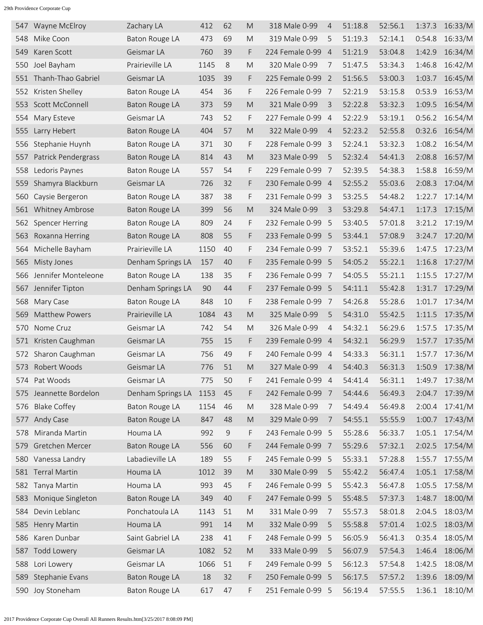| 547   | Wayne McElroy          | Zachary LA            | 412  | 62 | M                                                                                                          | 318 Male 0-99     | 4              | 51:18.8 | 52:56.1 | 1:37.3 | 16:33/M        |
|-------|------------------------|-----------------------|------|----|------------------------------------------------------------------------------------------------------------|-------------------|----------------|---------|---------|--------|----------------|
| 548   | Mike Coon              | Baton Rouge LA        | 473  | 69 | M                                                                                                          | 319 Male 0-99     | 5              | 51:19.3 | 52:14.1 | 0:54.8 | 16:33/M        |
| 549   | Karen Scott            | Geismar LA            | 760  | 39 | F                                                                                                          | 224 Female 0-99   | $\overline{4}$ | 51:21.9 | 53:04.8 | 1:42.9 | 16:34/M        |
| 550   | Joel Bayham            | Prairieville LA       | 1145 | 8  | M                                                                                                          | 320 Male 0-99     | 7              | 51:47.5 | 53:34.3 | 1:46.8 | 16:42/M        |
| 551   | Thanh-Thao Gabriel     | Geismar LA            | 1035 | 39 | F                                                                                                          | 225 Female 0-99   | -2             | 51:56.5 | 53:00.3 | 1:03.7 | 16:45/M        |
| 552   | Kristen Shelley        | Baton Rouge LA        | 454  | 36 | F                                                                                                          | 226 Female 0-99   | - 7            | 52:21.9 | 53:15.8 | 0:53.9 | 16:53/M        |
| 553   | Scott McConnell        | Baton Rouge LA        | 373  | 59 | M                                                                                                          | 321 Male 0-99     | 3              | 52:22.8 | 53:32.3 | 1:09.5 | 16:54/M        |
| 554   | Mary Esteve            | Geismar LA            | 743  | 52 | F                                                                                                          | 227 Female 0-99 4 |                | 52:22.9 | 53:19.1 | 0:56.2 | 16:54/M        |
| 555   | Larry Hebert           | Baton Rouge LA        | 404  | 57 | M                                                                                                          | 322 Male 0-99     | $\overline{4}$ | 52:23.2 | 52:55.8 | 0:32.6 | 16:54/M        |
| 556   | Stephanie Huynh        | Baton Rouge LA        | 371  | 30 | F                                                                                                          | 228 Female 0-99   | -3             | 52:24.1 | 53:32.3 | 1:08.2 | 16:54/M        |
| 557   | Patrick Pendergrass    | Baton Rouge LA        | 814  | 43 | M                                                                                                          | 323 Male 0-99     | 5              | 52:32.4 | 54:41.3 | 2:08.8 | 16:57/M        |
| 558   | Ledoris Paynes         | Baton Rouge LA        | 557  | 54 | F                                                                                                          | 229 Female 0-99   | - 7            | 52:39.5 | 54:38.3 | 1:58.8 | 16:59/M        |
| 559   | Shamyra Blackburn      | Geismar LA            | 726  | 32 | F                                                                                                          | 230 Female 0-99 4 |                | 52:55.2 | 55:03.6 | 2:08.3 | 17:04/M        |
| 560   | Caysie Bergeron        | Baton Rouge LA        | 387  | 38 | F                                                                                                          | 231 Female 0-99   | - 3            | 53:25.5 | 54:48.2 | 1:22.7 | 17:14/M        |
| 561   | Whitney Ambrose        | Baton Rouge LA        | 399  | 56 | M                                                                                                          | 324 Male 0-99     | 3              | 53:29.8 | 54:47.1 | 1:17.3 | 17:15/M        |
| 562   | <b>Spencer Herring</b> | Baton Rouge LA        | 809  | 24 | F                                                                                                          | 232 Female 0-99   | - 5            | 53:40.5 | 57:01.8 | 3:21.2 | 17:19/M        |
| 563   | Roxanna Herring        | <b>Baton Rouge LA</b> | 808  | 55 | F                                                                                                          | 233 Female 0-99 5 |                | 53:44.1 | 57:08.9 | 3:24.7 | 17:20/M        |
| 564   | Michelle Bayham        | Prairieville LA       | 1150 | 40 | F                                                                                                          | 234 Female 0-99   | - 7            | 53:52.1 | 55:39.6 | 1:47.5 | 17:23/M        |
| 565   | Misty Jones            | Denham Springs LA     | 157  | 40 | F.                                                                                                         | 235 Female 0-99 5 |                | 54:05.2 | 55:22.1 | 1:16.8 | 17:27/M        |
| 566   | Jennifer Monteleone    | Baton Rouge LA        | 138  | 35 | F                                                                                                          | 236 Female 0-99   | 7              | 54:05.5 | 55:21.1 | 1:15.5 | 17:27/M        |
| 567   | Jennifer Tipton        | Denham Springs LA     | 90   | 44 | F                                                                                                          | 237 Female 0-99 5 |                | 54:11.1 | 55:42.8 | 1:31.7 | 17:29/M        |
| 568   | Mary Case              | Baton Rouge LA        | 848  | 10 | F                                                                                                          | 238 Female 0-99 7 |                | 54:26.8 | 55:28.6 | 1:01.7 | 17:34/M        |
| 569   | <b>Matthew Powers</b>  | Prairieville LA       | 1084 | 43 | M                                                                                                          | 325 Male 0-99     | 5              | 54:31.0 | 55:42.5 | 1:11.5 | 17:35/M        |
| 570   | Nome Cruz              | Geismar LA            | 742  | 54 | M                                                                                                          | 326 Male 0-99     | $\overline{4}$ | 54:32.1 | 56:29.6 | 1:57.5 | 17:35/M        |
| 571   | Kristen Caughman       | Geismar LA            | 755  | 15 | F.                                                                                                         | 239 Female 0-99   | $\overline{4}$ | 54:32.1 | 56:29.9 | 1:57.7 | 17:35/M        |
| 572   | Sharon Caughman        | Geismar LA            | 756  | 49 | F                                                                                                          | 240 Female 0-99   | $\overline{4}$ | 54:33.3 | 56:31.1 | 1:57.7 | 17:36/M        |
| 573   | Robert Woods           | Geismar LA            | 776  | 51 | M                                                                                                          | 327 Male 0-99     | $\overline{4}$ | 54:40.3 | 56:31.3 | 1:50.9 | 17:38/M        |
| 574 - | Pat Woods              | Geismar LA            | 775  | 50 | F                                                                                                          | 241 Female 0-99   | -4             | 54:41.4 | 56:31.1 | 1:49.7 | 17:38/M        |
| 575   | Jeannette Bordelon     | Denham Springs LA     | 1153 | 45 | F                                                                                                          | 242 Female 0-99   | $\overline{7}$ | 54:44.6 | 56:49.3 | 2:04.7 | 17:39/M        |
| 576   | <b>Blake Coffey</b>    | Baton Rouge LA        | 1154 | 46 | ${\sf M}$                                                                                                  | 328 Male 0-99     | 7              | 54:49.4 | 56:49.8 | 2:00.4 | 17:41/M        |
| 577   | Andy Case              | <b>Baton Rouge LA</b> | 847  | 48 | $\mathsf{M}% _{T}=\mathsf{M}_{T}\!\left( a,b\right) ,\ \mathsf{M}_{T}=\mathsf{M}_{T}\!\left( a,b\right) ,$ | 329 Male 0-99     | 7              | 54:55.1 | 55:55.9 | 1:00.7 | 17:43/M        |
| 578   | Miranda Martin         | Houma LA              | 992  | 9  | F                                                                                                          | 243 Female 0-99 5 |                | 55:28.6 | 56:33.7 | 1:05.1 | 17:54/M        |
| 579   | Gretchen Mercer        | Baton Rouge LA        | 556  | 60 | F                                                                                                          | 244 Female 0-99 7 |                | 55:29.6 | 57:32.1 | 2:02.5 | 17:54/M        |
| 580   | Vanessa Landry         | Labadieville LA       | 189  | 55 | F                                                                                                          | 245 Female 0-99 5 |                | 55:33.1 | 57:28.8 | 1:55.7 | 17:55/M        |
| 581   | Terral Martin          | Houma LA              | 1012 | 39 | M                                                                                                          | 330 Male 0-99     | 5              | 55:42.2 | 56:47.4 | 1:05.1 | 17:58/M        |
|       | 582 Tanya Martin       | Houma LA              | 993  | 45 | F                                                                                                          | 246 Female 0-99   | -5             | 55:42.3 | 56:47.8 | 1:05.5 | 17:58/M        |
| 583   | Monique Singleton      | <b>Baton Rouge LA</b> | 349  | 40 | F                                                                                                          | 247 Female 0-99 5 |                | 55:48.5 | 57:37.3 | 1:48.7 | 18:00/M        |
| 584   | Devin Leblanc          | Ponchatoula LA        | 1143 | 51 | ${\sf M}$                                                                                                  | 331 Male 0-99     | 7              | 55:57.3 | 58:01.8 | 2:04.5 | 18:03/M        |
| 585   | Henry Martin           | Houma LA              | 991  | 14 | $\mathsf{M}% _{T}=\mathsf{M}_{T}\!\left( a,b\right) ,\ \mathsf{M}_{T}=\mathsf{M}_{T}\!\left( a,b\right) ,$ | 332 Male 0-99     | 5              | 55:58.8 | 57:01.4 | 1:02.5 | 18:03/M        |
| 586   | Karen Dunbar           | Saint Gabriel LA      | 238  | 41 | F                                                                                                          | 248 Female 0-99 5 |                | 56:05.9 | 56:41.3 | 0:35.4 | 18:05/M        |
| 587   | <b>Todd Lowery</b>     | Geismar LA            | 1082 | 52 | $\mathsf{M}% _{T}=\mathsf{M}_{T}\!\left( a,b\right) ,\ \mathsf{M}_{T}=\mathsf{M}_{T}\!\left( a,b\right) ,$ | 333 Male 0-99     | 5              | 56:07.9 | 57:54.3 | 1:46.4 | 18:06/M        |
| 588   | Lori Lowery            | Geismar LA            | 1066 | 51 | F                                                                                                          | 249 Female 0-99 5 |                | 56:12.3 | 57:54.8 | 1:42.5 | 18:08/M        |
| 589   | Stephanie Evans        | Baton Rouge LA        | 18   | 32 | F                                                                                                          | 250 Female 0-99 5 |                | 56:17.5 | 57:57.2 | 1:39.6 | 18:09/M        |
|       | 590 Joy Stoneham       | Baton Rouge LA        | 617  | 47 | F                                                                                                          | 251 Female 0-99 5 |                | 56:19.4 | 57:55.5 |        | 1:36.1 18:10/M |
|       |                        |                       |      |    |                                                                                                            |                   |                |         |         |        |                |